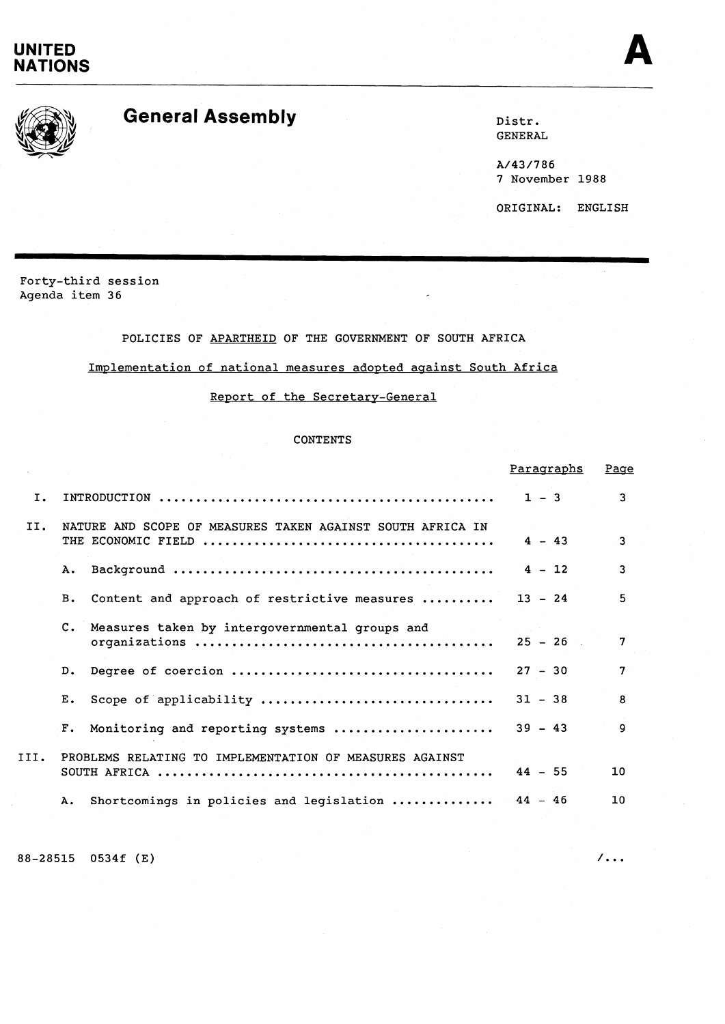# **UNITED NATIONS**





# General Assembly **Distribution**

GENERAL

A/43/786 7 November 1988

ORIGINAL: ENGLISH

Forty-third session Agenda item 36

# POLICIES OF APARTHEID OF THE GOVERNMENT OF SOUTH AFRICA

# Implementation of national measures adopted against South Africa

# Report of the Secretary-General

# CONTENTS

|      |                                                                  | <u>Paragraphs</u> | Page           |
|------|------------------------------------------------------------------|-------------------|----------------|
| Ι.   |                                                                  | $1 - 3$           | 3              |
| II.  | NATURE AND SCOPE OF MEASURES TAKEN AGAINST SOUTH AFRICA IN       | $4 - 43$          | 3              |
|      | Α.                                                               | $4 - 12$          | 3              |
|      | Content and approach of restrictive measures  13 - 24<br>B.      |                   | 5              |
|      | $\mathbf{c}$ .<br>Measures taken by intergovernmental groups and | $25 - 26$         | $\mathbf{7}$   |
|      | D.                                                               | $27 - 30$         | $\overline{7}$ |
|      | Scope of applicability<br>Ε.                                     | $31 - 38$         | 8              |
|      | Monitoring and reporting systems<br>$F_{\bullet}$                | $39 - 43$         | q              |
| III. | PROBLEMS RELATING TO IMPLEMENTATION OF MEASURES AGAINST          | $44 - 55$         | 10             |
|      | Shortcomings in policies and legislation  44 - 46<br>Α.          |                   | 10             |
|      |                                                                  |                   |                |

88-28515 0534f (E) /...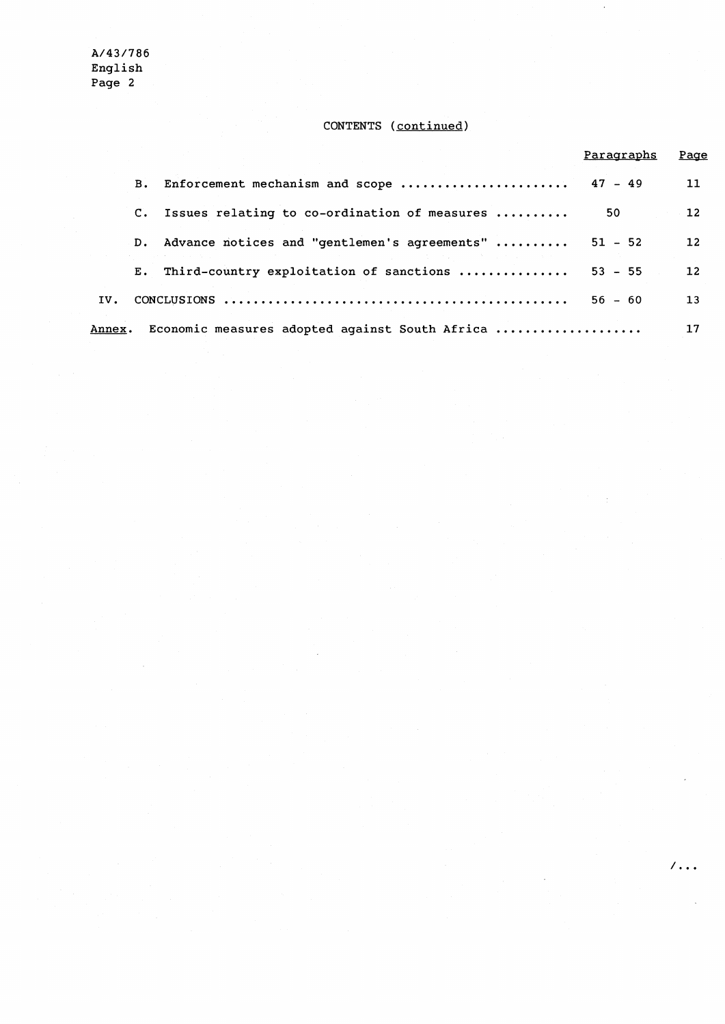# **CONTENTS (continued)**

|               |                |                                                | Paragraphs | Page              |
|---------------|----------------|------------------------------------------------|------------|-------------------|
|               | в.             | Enforcement mechanism and scope  47 - 49       |            | 11                |
|               | $\mathbf{C}$ . | Issues relating to co-ordination of measures   | 50.        | 12                |
|               | D.             | Advance notices and "gentlemen's agreements"   | $51 - 52$  | $12 \overline{ }$ |
|               | E.,            | Third-country exploitation of sanctions        | $53 - 55$  | $12 \overline{ }$ |
| IV.           |                |                                                | $56 - 60$  | 13                |
| <b>Annex.</b> |                | Economic measures adopted against South Africa |            | 17                |

 $\sqrt{100}$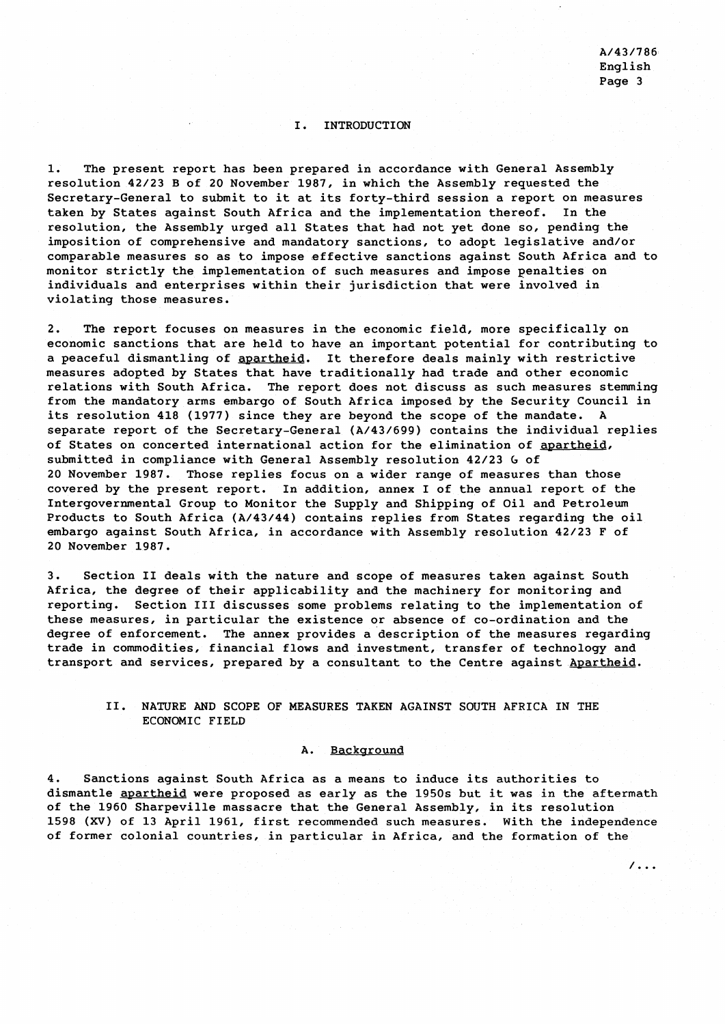$7.1.$ 

# I. INTRODUCTION

1. The present report has been prepared in accordance with General Assembly resolution 42/23 B of 20 November 1987, in which the Assembly requested the Secretary-General to submit to it at its forty-third session a report on measures taken by States against South Africa and the implementation thereof. In the resolution, the Assembly urged all States that had not yet done so, pending the imposition of comprehensive and mandatory sanctions, to adopt legislative and/or comparable measures so as to impose effective sanctions against South Africa and to monitor strictly the implementation of such measures and impose penalties on individuals and enterprises within their jurisdiction that were involved in violating those measures.

2. The report focuses on measures in the economic field, more specifically on economic sanctions that are held to have an important potential for contributing to a peaceful dismantling of apartheid. It therefore deals mainly with restrictive measures adopted by States that have traditionally had trade and other economic relations with South Africa. The report does not discuss as such measures stemming from the mandatory arms embargo of South Africa imposed by the Security Council in its resolution 418 (1977) since they are beyond the scope of the mandate. A separate report of the Secretary-General (A/43/699) contains the individual replies of States on concerted international action for the elimination of apartheid, submitted in compliance with General Assembly resolution 42/23 **G** of 20 November 1987. Those replies focus on a wider range of measures than those covered by the present report. In addition, annex I of the annual report of the Intergovernmental Group to Monitor the Supply and Shipping of Oil and Petroleum Products to South Africa (A/43/44) contains replies from States regarding the oil embargo against South Africa, in accordance with Assembly resolution 42/23 F of 20 November 1987.

3. Section I1 deals with the nature and scope of measures taken against South Africa, the degree of their applicability and the machinery for monitoring and reporting. Section I11 discusses some problems relating to the implementation of these measures, in particular the existence or absence of co-ordination and the degree of enforcement. The annex provides a description of the measures regarding trade in commodities, financial flows and investment, transfer of technology and transport and services, prepared by a consultant to the Centre against Apartheid.

### 11. NATURE AND SCOPE OF MEASURES TAKEN AGAINST SOUTH AFRICA IN THE ECONOMIC FIELD

#### A. Background

4. Sanctions against South Africa as a means to induce its authorities to dismantle apartheid were proposed as early as the 1950s but it was in the aftermath of the 1960 Sharpeville massacre that the General Assembly, in its resolution 1598 **(XV)** of 13 April 1961, first recommended such measures. With the independence of former colonial countries, in particular in Africa, and the formation of the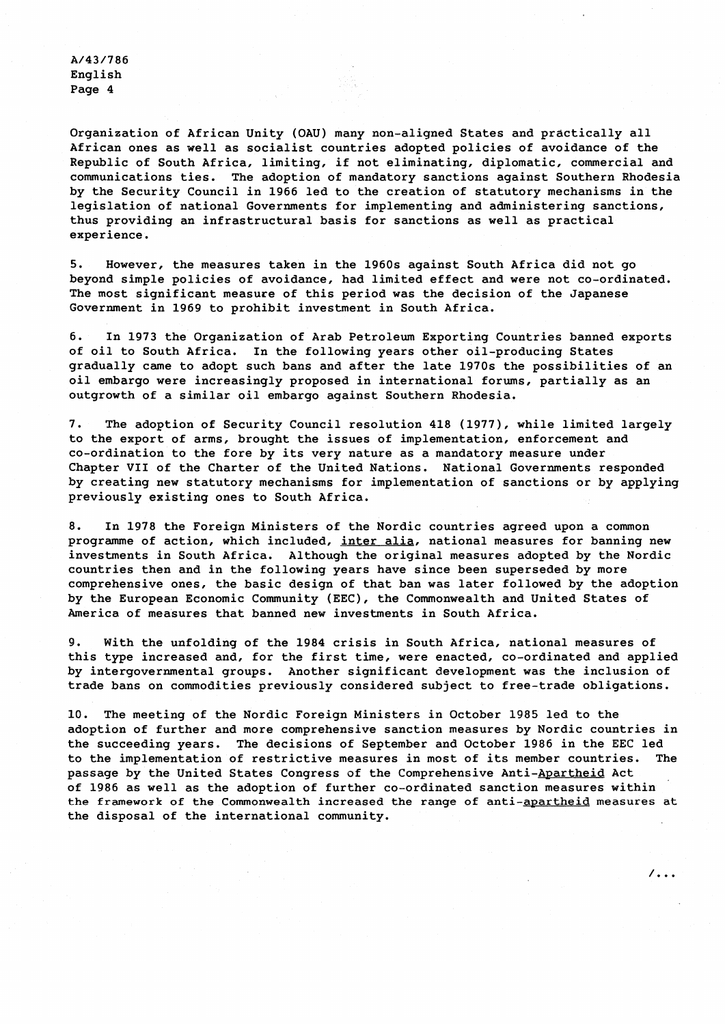Organization of African Unity (OAU) many non-aligned States and practically all African ones as well as socialist countries adopted policies of avoidance of the Republic of South Africa, limiting, if not eliminating, diplomatic, commercial and communications ties. The adoption of mandatory sanctions against Southern Rhodesia by the Security Council in 1966 led to the creation of statutory mechanisms in the legislation of national Governments for implementing and administering sanctions, thus providing an infrastructural basis for sanctions as well as practical experience.

5. However, the measures taken in the 1960s against South Africa did not go beyond simple policies of avoidance, had limited effect and were not co-ordinated. The most significant measure of this period was the decision of the Japanese Government in 1969 to prohibit investment in South Africa.

6. In 1973 the Organization of Arab Petroleum Exporting Countries banned exports of oil to South Africa. In the following years other oil-producing States gradually came to adopt such bans and after the late 1970s the possibilities of an oil embargo were increasingly proposed in international forums, partially as an outgrowth of a similar oil embargo against Southern Rhodesia.

7. The adoption of Security Council resolution 418 (1977), while limited largely to the export of arms, brought the issues of implementation, enforcement and co-ordination to the fore by its very nature as a mandatory measure under Chapter VII of the Charter of the United Nations. National Governments responded by creating new statutory mechanisms for implementation of sanctions or by applying previously existing ones to South Africa.

8. In 1978 the Foreign Ministers of the Nordic countries agreed upon a common programme of action, which included, inter alia, national measures for banning new investments in South Africa. Although the original measures adopted by the Nordic countries then and in the following years have since been superseded by more comprehensive ones, the basic design of that ban was later followed by the adoption by the European Economic Community (EEC), the Commonwealth and United States of America of measures that banned new investments in South Africa.

9. With the unfolding of the 1984 crisis in South Africa, national measures of this type increased and, for the first time, were enacted, co-ordinated and applied by intergovernmental groups. Another significant development was the inclusion of trade bans on commodities previously considered subject to free-trade obligations.

10. The meeting of the Nordic Foreign Ministers in October 1985 led to the adoption of further and more comprehensive sanction measures by Nordic countries in the succeeding years. The decisions of September and October 1986 in the EEC led to the implementation of restrictive measures in most of its member countries. The passage by the United States Congress of the Comprehensive Anti-Apartheid Act of 1986 as well as the adoption of further co-ordinated sanction measures within the framework of the Commonwealth increased the range of anti-apartheid measures at the disposal of the international community.

 $/$ ...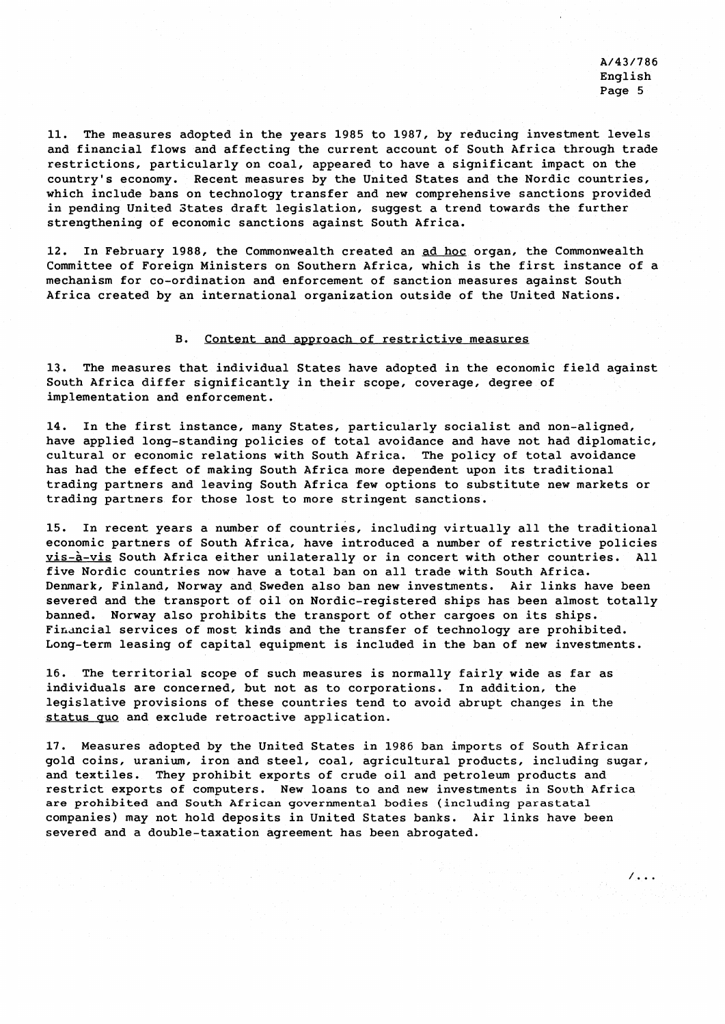$\sqrt{2}$ .

11. The measures adopted in the years 1985 to 1987, by reducing investment levels and financial flows and affecting the current account of South Africa through trade restrictions, particularly on coal, appeared to have a significant impact on the country's economy. Recent measures by the United States and the Nordic countries, which include bans on technology transfer and new comprehensive sanctions provided in pending United States draft legislation, suggest a trend towards the further strengthening of economic sanctions against South Africa.

12. In February 1988, the Commonwealth created an ad hoc organ, the Commonwealth Committee of Foreign Ministers on Southern Africa, which is the first instance of a mechanism for co-ordination and enforcement of sanction measures against South Africa created by an international organization outside of the United Nations.

# B. Content and approach of restrictive measures

13. The measures that individual States have adopted in the economic field against South Africa differ significantly in their scope, coverage, degree of implementation and enforcement.

14. In the first instance, many States, particularly socialist and non-aligned, have applied long-standing policies of total avoidance and have not had diplomatic, cultural or economic relations with South Africa. The policy of total avoidance has had the effect of making South Africa more dependent upon its traditional trading partners and leaving South Africa few options to substitute new markets or trading partners for those lost to more stringent sanctions.

15. In recent years a number of countries, including virtually all the traditional economic partners of South Africa, have introduced a number of restrictive policies vis-à-vis South Africa either unilaterally or in concert with other countries. All five Nordic countries now have a total ban on all trade with South Africa. Denmark, Finland, Norway and Sweden also ban new investments. Air links have been severed and the transport of oil on Nordic-registered ships has been almost totally banned. Norway also prohibits the transport of other cargoes on its ships. Financial services of most kinds and the transfer of technology are prohibited. Long-term leasing of capital equipment is included in the ban of new investments.

16. The territorial scope of such measures is normally fairly wide as far as individuals are concerned, but not as to corporations. In addition, the legislative provisions of these countries tend to avoid abrupt changes in the status quo and exclude retroactive application.

17. Measures adopted by the United States in 1986 ban imports of South African gold coins, uranium, iron and steel, coal, agricultural products, including sugar, and textiles. They prohibit exports of crude oil and petroleum products and restrict exports of computers. New loans to and new investments in South Africa are prohibited and South African governmental bodies (including parastatal companies) may not hold deposits in United States banks. Air links have been severed and a double-taxation agreement has been abrogated.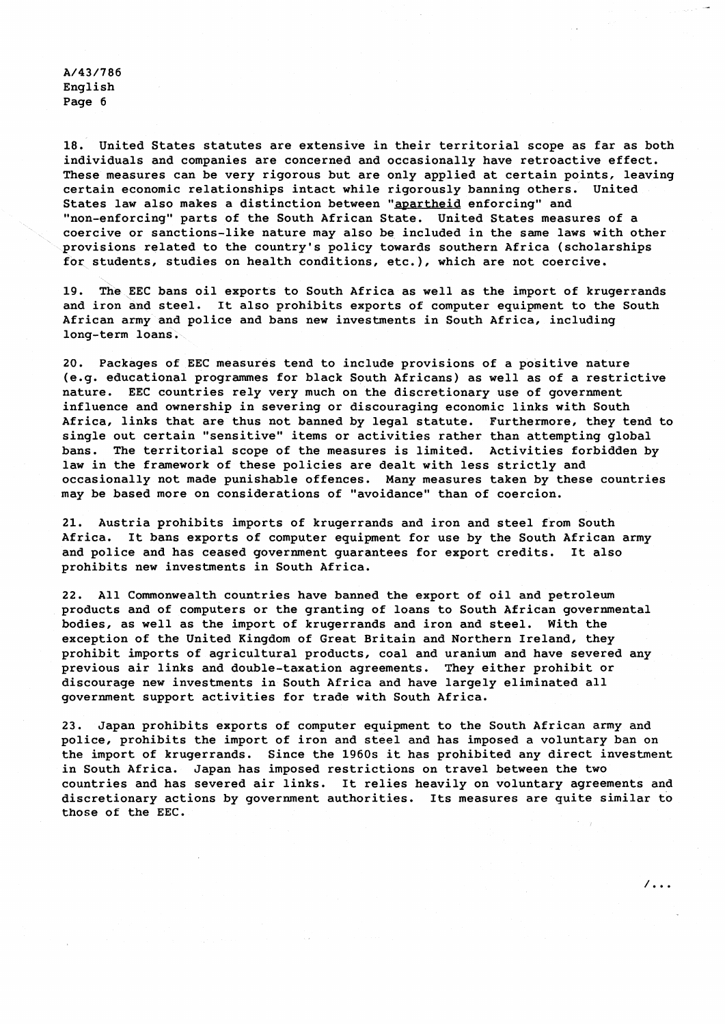18. United States statutes are extensive in their territorial scope as far as both individuals and companies are concerned and occasionally have retroactive effect. These measures can be very rigorous but are only applied at certain points, leaving certain economic relationships intact while rigorously banning others. United States law also makes a distinction between "apartheid enforcing" and "non-enforcing" parts of the South African State. United States measures of a coercive or sanctions-like nature may also be included in the same laws with other provisions related to the country's policy towards southern Africa (scholarships for students, studies on health conditions, etc.), which are not coercive.

19. The EEC bans oil exports to South Africa as well as the import of krugerxands and iron and steel. It also prohibits exports of computer equipment to the South African army and police and bans new investments in South Africa, including long-term loans.

20. Packages of EEC measures tend to include provisions of a positive nature (e.g. educational programmes for black South Africans) as well as of a restrictive nature. EEC countries rely very much on the discretionary use of government influence and ownership in severing or discouraging economic links with South Africa, links that are thus not banned by legal statute. Furthermore, they tend to single out certain "sensitive" items or activities rather than attempting global bans. The territorial scope of the measures is limited. Activities forbidden by law in the framework of these policies are dealt with less strictly and occasionally not made punishable offences. Many measures taken by these countries may be based more on considerations of "avoidance" than of coercion.

21. Austria prohibits imports of krugerrands and iron and steel from South Africa. It bans exports of computer equipment for use by the South African army and police and has ceased government guarantees for export credits. It also prohibits new investments in South Africa.

22. All Commonwealth countries have banned the export of oil and petroleum products and of computers or the granting of loans to South African governmental bodies, as well as the import of krugerrands and iron and steel. With the exception of the United Kingdom of Great Britain and Northern Ireland, they prohibit imports of agricultural products, coal and uranium and have severed any previous air links and double-taxation agreements. They either prohibit or discourage new investments in South Africa and have largely eliminated all government support activities for trade with South Africa.

23. Japan prohibits exports of computer equipment to the South African army and police, prohibits the import of iron and steel and has imposed a voluntary ban on the import of krugerrands. Since the 1960s it has prohibited any direct investment in South Africa. Japan has imposed restrictions on travel between the two countries and has severed air links. It relies heavily on voluntary agreements and discretionary actions by government authorities. Its measures are quite similar to those of the EEC.

 $\sqrt{100}$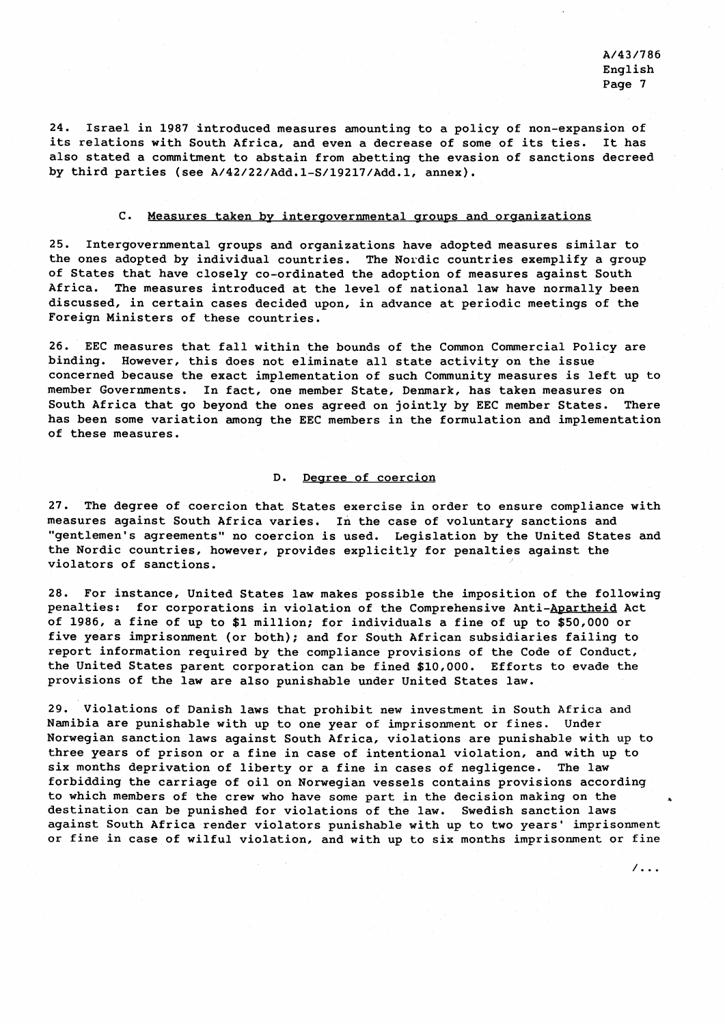$/$ ...

24. Israel in 1987 introduced measures amounting to a policy of non-expansion of its relations with South Africa, and even a decrease of some of its ties. It has also stated a commitment to abstain from abetting the evasion of sanctions decreed by third parties (see **A/42/22/Add.l-S/19217/Add.l,** annex).

# C. Measures taken by intergovernmental groups and organizations

25. Intergovernmental groups and organizations have adopted measures similar to the ones adopted by individual countries. The Nordic countries exemplify a group of States that have closely co-ordinated the adoption of measures against South Africa. The measures introduced at the level of national law have normally been discussed, in certain cases decided upon, in advance at periodic meetings of the Foreign Ministers of these countries.

26. EEC measures that fall within the bounds of the Common Commercial Policy are binding. However, this does not eliminate all state activity on the issue concerned because the exact implementation of such Community measures is left up to member Governments. In fact, one member State, Denmark, has taken measures on South Africa that go beyond the ones agreed on jointly by EEC member States. There has been some variation among the EEC members in the formulation and implementation of these measures.

### D. Dearee of coercion

27. The degree of coercion that States exercise in order to ensure compliance with measures against South Africa varies. In the case of voluntary sanctions and "gentlemen's agreements" no coercion is used. Legislation by the United States and the Nordic countries, however, provides explicitly for penalties against the violators of sanctions.

28. For instance, United States law makes possible the imposition of the following penalties: for corporations in violation of the Comprehensive Anti-Apartheid Act of 1986, a fine of up to \$1 million; for individuals a fine of up to \$50,000 or five years imprisonment (or both); and for South African subsidiaries failing to report information required by the compliance provisions of the Code of Conduct, the United States parent corporation can be fined \$10,000. Efforts to evade the provisions of the law are also punishable under United States law.

29. Violations of Danish laws that prohibit new investment in South Africa and Namibia are punishable with up to one year of imprisonment or fines. Under Norwegian sanction laws against South Africa, violations are punishable with up to three years of prison or a fine in case of intentional violation, and with up to six months deprivation of liberty or a fine in cases of negligence. The law forbidding the carriage of oil on Norwegian vessels contains provisions according to which members of the crew who have some part in the decision making on the **<sup>a</sup>** destination can be punished for violations of the law. Swedish sanction laws against South Africa render violators punishable with up to two years' imprisonment or fine in case of wilful violation, and with up to six months imprisonment or fine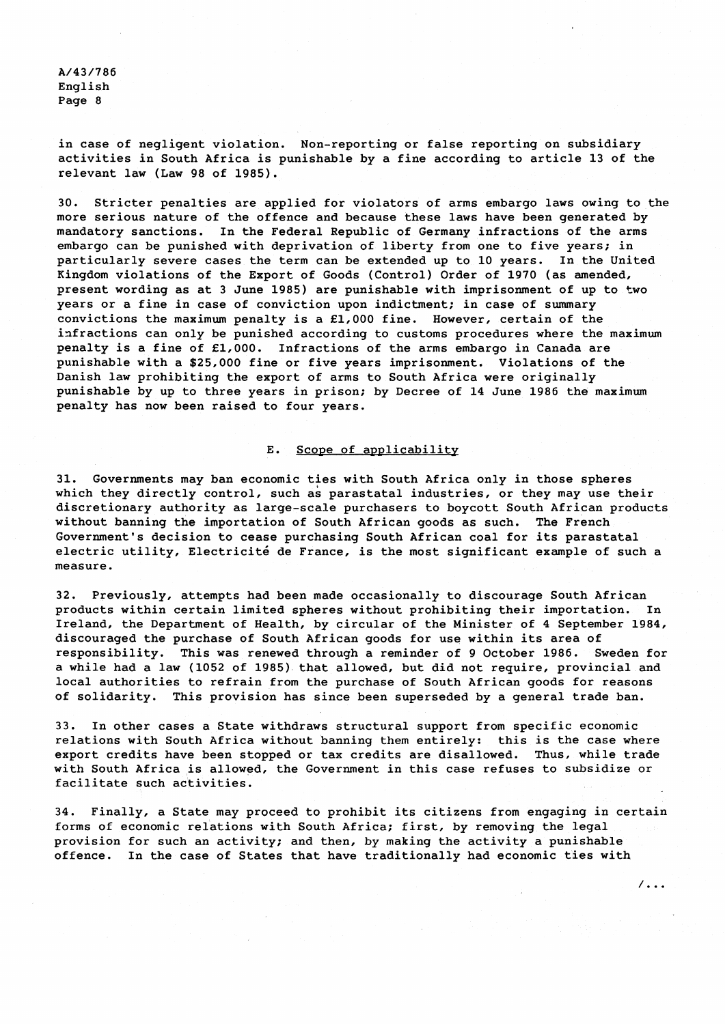in case of negligent violation. Non-reporting or false reporting on subsidiary activities in South Africa is punishable by a fine according to article 13 of the relevant law (Law 98 of 1985).

30. Stricter penalties are applied for violators of arms embargo laws owing to the more serious nature of the offence and because these laws have been generated by mandatory sanctions. In the Federal Republic of Germany infractions of the arms embargo can be punished with deprivation of liberty from one to five years; in particularly severe cases the term can be extended up to 10 years. In the United Kingdom violations of the Export of Goods (Control) Order of 1970 (as amended, present wording as at 3 June 1985) are punishable with imprisonment of up to two years or a fine in case of conviction upon indictment; in case of summary convictions the maximum penalty is a E1,000 fine. However, certain of the infractions can only be punished according to customs procedures where the maximum penalty is a fine of E1,000. Infractions of the arms embargo in Canada are punishable with a \$25,000 fine or five years imprisonment. Violations of the Danish law prohibiting the export of arms to South Africa were originally punishable by up to three years in prison; by Decree of 14 June 1986 the maximum penalty has now been raised to four years.

#### E. Scope of applicability

31. Governments may ban economic ties with South Africa only in those spheres which they directly control, such as parastatal industries, or they may use their discretionary authority as large-scale purchasers to boycott South African products without banning the importation of South African goods as such. The French Government's decision to cease purchasing South African coal for its parastatal electric utility, Electricité de France, is the most significant example of such a measure.

32. Previously, attempts had been made occasionally to discourage South African products within certain limited spheres without prohibiting their importation. In Ireland, the Department of Health, by circular of the Minister of 4 September 1984, discouraged the purchase of South African goods for use within its area of responsibility. This was renewed through a reminder of 9 October 1986. Sweden for a while had a law (1052 of 1985) that allowed, but did not require, provincial and local authorities to refrain from the purchase of South African goods for reasons of solidarity. This provision has since been superseded by a general trade ban.

33. In other cases a State withdraws structural support from specific economic relations with South Africa without banning them entirely: this is the case where export credits have been stopped or tax credits are disallowed. Thus, while trade with South Africa is allowed, the Government in this case refuses to subsidize or facilitate such activities.

34. Finally, a State may proceed to prohibit its citizens from engaging in certain forms of economic relations with South Africa; first, by removing the legal provision for such an activity; and then, by making the activity a punishable offence. In the case of States that have traditionally had economic ties with

 $/$ ...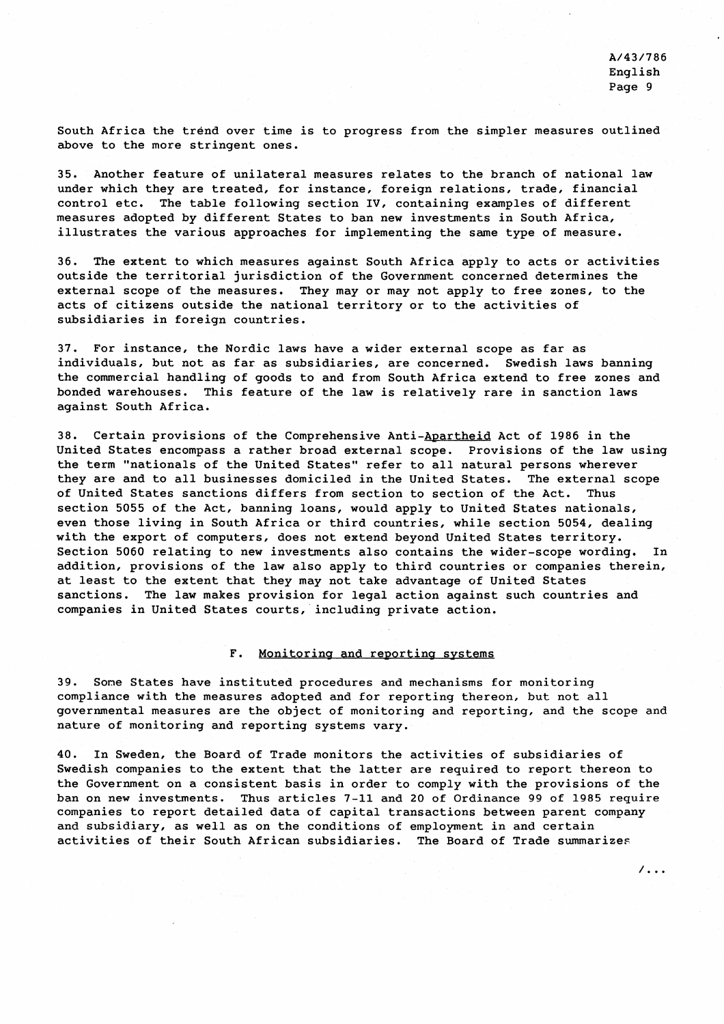$\sqrt{100}$ 

South Africa the trend over time is to progress from the simpler measures outlined above to the more stringent ones.

35. Another feature of unilateral measures relates to the branch of national law under which they are treated, for instance, foreign relations, trade, financial control etc. The table following section IV, containing examples of different measures adopted by different States to ban new investments in South Africa, illustrates the various approaches for implementing the same type of measure.

36. The extent to which measures against South Africa apply to acts or activities outside the territorial jurisdiction of the Government concerned determines the external scope of the measures. They may or may not apply to free zones, to the acts of citizens outside the national territory or to the activities of subsidiaries in foreign countries.

37. For instance, the Nordic laws have a wider external scope as far as individuals, but not as far as subsidiaries, are concerned. Swedish laws banning the commercial handling of goods to and from South Africa extend to free zones and bonded warehouses. This feature of the law is relatively rare in sanction laws against South Africa.

38. Certain provisions of the Comprehensive Anti-Apartheid Act of 1986 in the United States encompass a rather broad external scope. Provisions of the law using the term "nationals of the United States" refer to all natural persons wherever they are and to all businesses domiciled in the United States. The external scope of United States sanctions differs from section to section of the Act. Thus section 5055 of the Act, banning loans, would apply to United States nationals, even those living in South Africa or third countries, while section 5054, dealing with the export of computers, does not extend beyond United States territory. Section 5060 relating to new investments also contains the wider-scope wording. In addition, provisions of the law also apply to third countries or companies therein, at least to the extent that they may not take advantage of United States sanctions. The law makes provision for legal action against such countries and companies in United States courts, including private action.

# F. Monitoring and reporting systems

39. Sone States have instituted procedures and mechanisms for monitoring compliance with the measures adopted and for reporting thereon, but not all governmental measures are the object of monitoring and reporting, and the scope and nature of monitoring and reporting systems vary.

40. In Sweden, the Board of Trade monitors the activities of subsidiaries of Swedish companies to the extent that the latter are required to report thereon to the Government on a consistent basis in order to comply with the provisions of the ban on new investments. Thus articles 7-11 and 20 of Ordinance 99 of 1985 require companies to report detailed data of capital transactions between parent company and subsidiary, as well as on the conditions of employment in and certain activities of their South African subsidiaries. The Board of Trade summarizes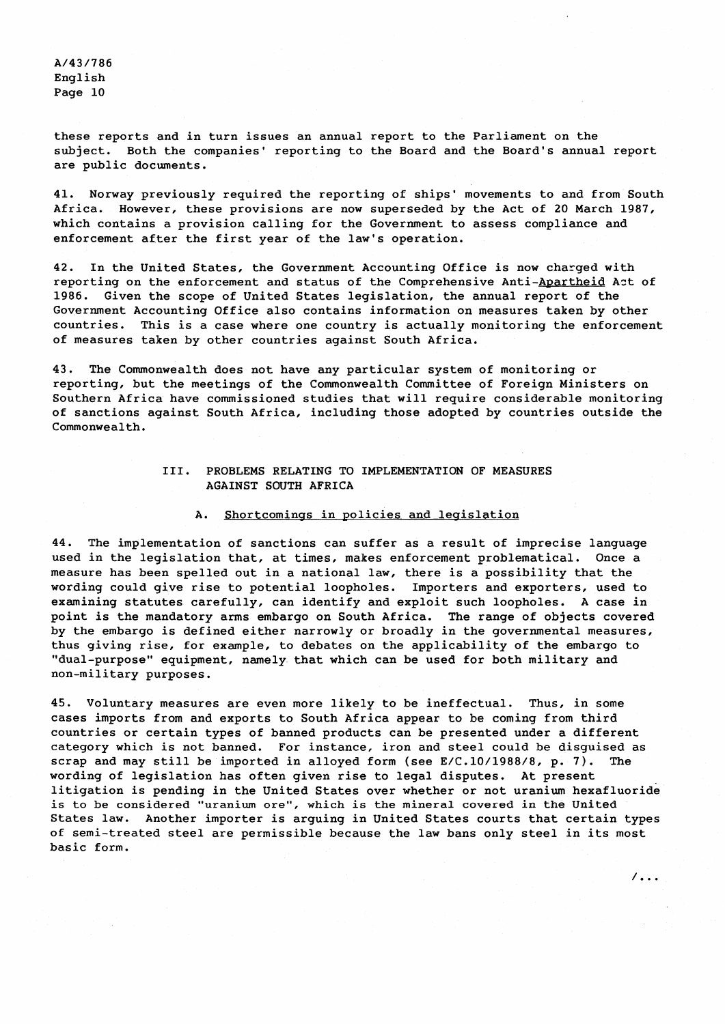these reports and in turn issues an annual report to the Parliament on the subject. Both the companies' reporting to the Board and the Board's annual report are public documents.

41. Norway previously required the reporting of ships' movements to and from South Africa. However, these provisions are now superseded by the Act of 20 March 1987, which contains a provision calling for the Government to assess compliance and enforcement after the first year of the law's operation.

42. In the United States, the Government Accounting Office is now charged with reporting on the enforcement and status of the Comprehensive Anti-Apartheid Act of 1986. Given the scope of United States legislation, the annual report of the Government Accounting Office also contains information on measures taken by other countries. This is a case where one country is actually monitoring the enforcement of measures taken by other countries against South Africa.

43. The Commonwealth does not have any particular system of monitoring or reporting, but the meetings of the Commonwealth Committee of Foreign Ministers on Southern Africa have commissioned studies that will require considerable monitoring of sanctions against South Africa, including those adopted by countries outside the Commonwealth.

# 111. PROBLEMS RELATING TO IMPLEMENTATION OF MEASURES AGAINST SOUTH AFRICA

### A. Shortcomings in policies and legislation

44. The implementation of sanctions can suffer as a result of imprecise language used in the legislation that, at times, makes enforcement problematical. Once a measure has been spelled out in a national law, there is a possibility that the wording could give rise to potential loopholes. Importers and exporters, used to examining statutes carefully, can identify and exploit such loopholes. A case in point is the mandatory arms embargo on South Africa. The range of objects covered by the embargo is defined either narrowly or broadly in the governmental measures, thus giving rise, for example, to debates on the applicability of the embargo to "dual-purpose" equipment, namely that which can be used for both military and non-military purposes.

45. Voluntary measures are even more likely to be ineffectual. Thus, in some cases imports from and exports to South Africa appear to be coming from third countries or certain types of banned products can be presented under a different category which is not banned. For instance, iron and steel could be disguised as scrap and may still be imported in alloyed form (see E/C.10/1988/8, p. 7). The wording of legislation has often given rise to legal disputes. At present litigation is pending in the United States over whether or not uranium hexafluoride is to be considered "uranium ore", which is the mineral covered in the United States law. Another importer is arguing in United States courts that certain types of semi-treated steel are permissible because the law bans only steel in its most basic form.

 $\sqrt{100}$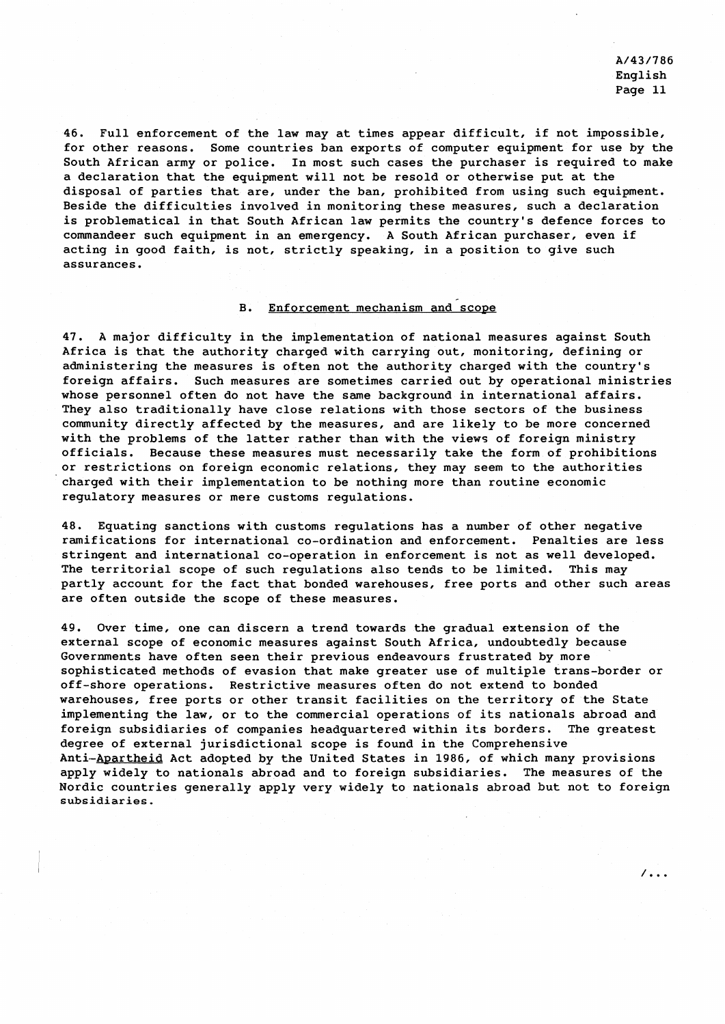$\sqrt{2}$ .

46. Full enforcement of the law may at times appear difficult, if not impossible, for other reasons. Some countries ban exports of computer equipment for use by the South African army or police. In most such cases the purchaser is required to make a declaration that the equipment will not be resold or otherwise put at the disposal of parties that are, under the ban, prohibited from using such equipment. Beside the difficulties involved in monitoring these measures, such a declaration is problematical in that South African law permits the country's defence forces to commandeer such equipment in an emergency. A South African purchaser, even if acting in good faith, is not, strictly speaking, in a position to give such assurances.

#### B. Enforcement mechanism and scope

47. A major difficulty in the implementation of national measures against South Africa is that the authority charged with carrying out, monitoring, defining or administering the measures is often not the authority charged with the country's foreign affairs. Such measures are sometimes carried out by operational ministries whose personnel often do not have the same background in international affairs. They also traditionally have close relations with those sectors of the business community directly affected by the measures, and are likely to be more concerned with the problems of the latter rather than with the views of foreign ministry officials. Because these measures must necessarily take the form of prohibitions or restrictions on foreign economic relations, they may seem to the authorities charged with their implementation to be nothing more than routine economic regulatory measures or mere customs regulations.

48. Equating sanctions with customs regulations has a number of other negative ramifications for international co-ordination and enforcement. Penalties are less stringent and international co-operation in enforcement is not as well developed. The territorial scope of such regulations also tends to be limited. This may partly account for the fact that bonded warehouses, free ports and other such areas are often outside the scope of these measures.

49. Over time, one can discern a trend towards the gradual extension of the external scope of economic measures against South Africa, undoubtedly because Governments have often seen their previous endeavours frustrated by more sophisticated methods of evasion that make greater use of multiple trans-border or off-shore operations. Restrictive measures often do not extend to bonded warehouses, free ports or other transit facilities on the territory of the State implementing the law, or to the commercial operations of its nationals abroad and foreign subsidiaries of companies headquartered within its borders. The greatest degree of external jurisdictional scope is found in the Comprehensive Anti-Apartheid Act adopted by the United States in 1986, of which many provisions apply widely to nationals abroad and to foreign subsidiaries. The measures of the Nordic countries generally apply very widely to nationals abroad but not to foreign **subsidiaries.**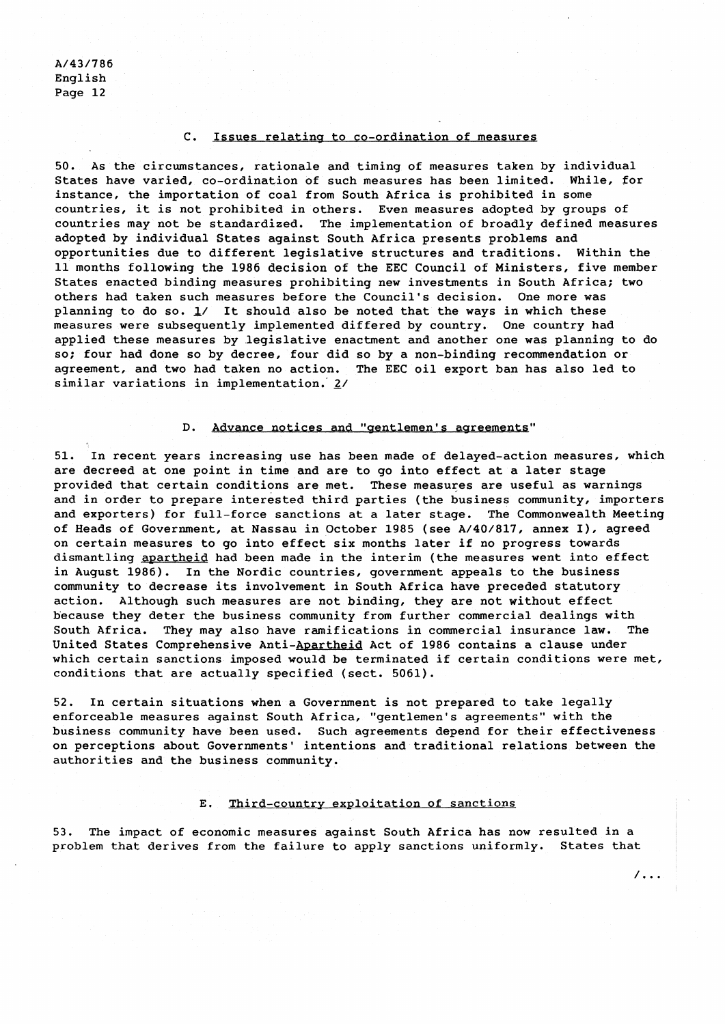# C. Issues relating to co-ordination of measures

50. As the circwnstances, rationale and timing of measures taken by individual States have varied, co-ordination of such measures has been limited. While, for instance, the importation of coal from South Africa is prohibited in some countries, it is not prohibited in others. Even measures adopted by groups of countries may not be standardized. The implementation of broadly defined measures adopted by individual States against South Africa presents problems and opportunities due to different legislative structures and traditions. Within the 11 months following the 1986 decision of the EEC Council of Ministers, five member States enacted binding measures prohibiting new investments in South Africa; two others had taken such measures before the Council's decision. One more was planning to do so. **1/** It should also be noted that the ways in which these measures were subsequently implemented differed by country. One country had applied these measures by legislative enactment and another one was planning to do so; four had done so by decree, four did so by a non-binding recommendation or agreement, and two had taken no action. The EEC oil export ban has also led to similar variations in implementation. 2/

# D. Advance notices and "gentlemen's agreements"

51. In recent years increasing use has been made of delayed-action measures, which are decreed at one point in time and are to go into effect at a later stage provided that certain conditions are met. These measures are useful as warnings and in order to prepare interested third parties (the business community, importers and exporters) for full-force sanctions at a later stage. The Commonwealth Meeting of Heads of Government, at Nassau in October 1985 (see A/40/817, annex I), agreed on certain measures to go into effect six months later if no progress towards dismantling apartheid had been made in the interim (the measures went into effect in August 1986). In the Nordic countries, government appeals to the business community to decrease its involvement in South Africa have preceded statutory action. Although such measures are not binding, they are not without effect because they deter the business community from further commercial dealings with South Africa. They may also have ramifications in commercial insurance law. The United States Comprehensive Anti-Apartheid Act of 1986 contains a clause under which certain sanctions imposed would be terminated if certain conditions were met, conditions that are actually specified (sect. 5061).

52. In certain situations when a Government is not prepared to take legally enforceable measures against South Africa, "gentlemen's agreements" with the business community have been used. Such agreements depend for their effectiveness on perceptions about Governments' intentions and traditional relations between the authorities and the business community.

# E. Third-country exploitation of sanctions

53. The impact of economic measures against South Africa has now resulted in a problem that derives from the failure to apply sanctions uniformly. States that

 $/ \cdot \cdot \cdot$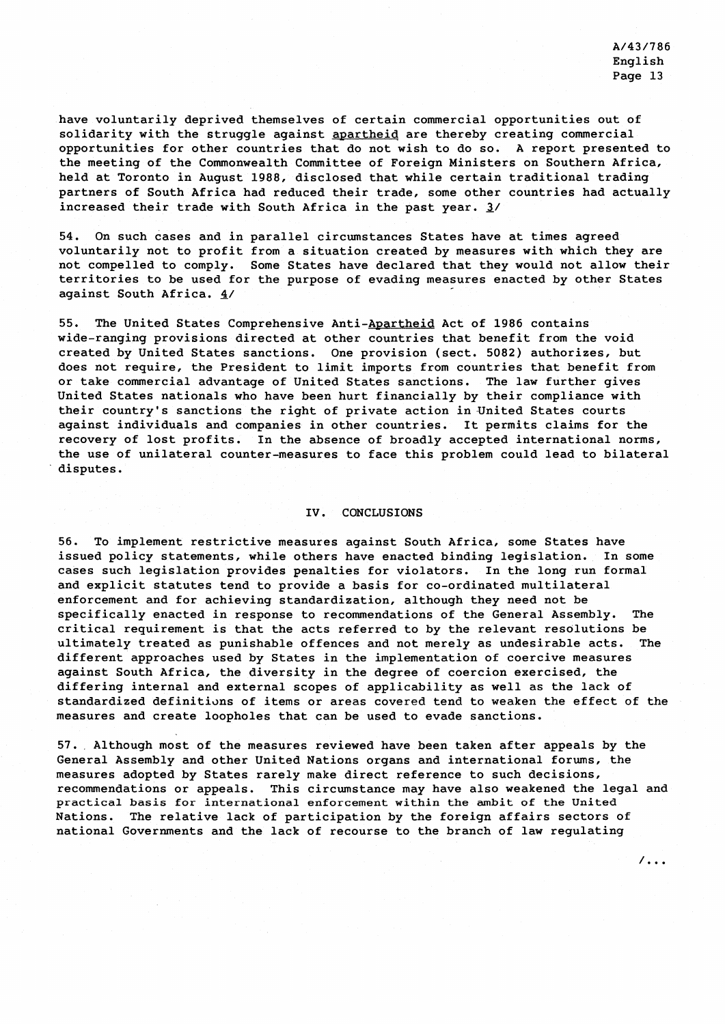$\sqrt{11}$ 

have voluntarily deprived themselves of certain commercial opportunities out of solidarity with the struggle against apartheid are thereby creating commercial opportunities for other countries that do not wish to do so. A report presented to the meeting of the Commonwealth Committee of Foreign Ministers on Southern Africa, held at Toronto in August 1988, disclosed that while certain traditional trading partners of South Africa had reduced their trade, some other countries had actually increased their trade with South Africa in the past year. **3/** 

54. On such cases and in parallel circumstances States have at times agreed voluntarily not to profit from a situation created by measures with which they are not compelled to comply. Some States have declared that they would not allow their territories to be used for the purpose of evading measures enacted by other States against South Africa. **4/** 

55. The United States Comprehensive Anti-Apartheid Act of 1986 contains wide-ranging provisions directed at other countries that benefit from the void created by United States sanctions. One provision (sect. 5082) authorizes, but does not require, the President to limit imports from countries that benefit from or take commercial advantage of United States sanctions. The law further gives United States nationals who have been hurt financially by their compliance with their country's sanctions the right of private action in United States courts against individuals and companies in other countries. It permits claims for the recovery of lost profits. In the absence of broadly accepted international norms, the use of unilateral counter-measures to face this problem could lead to bilateral disputes.

# IV. CONCLUSIONS

56. To implement restrictive measures against South Africa, some States have issued policy statements, while others have enacted binding legislation. In some cases such legislation provides penalties for violators. In the long run formal and explicit statutes tend to provide a basis for co-ordinated multilateral enforcement and for achieving standardization, although they need not be specifically enacted in response to recommendations of the General Assembly. The critical requirement is that the acts referred to by the relevant resolutions be ultimately treated as punishable offences and not merely as undesirable acts. The different approaches used by States in the implementation of coercive measures against South Africa, the diversity in the degree of coercion exercised, the differing internal and external scopes of applicability as well as the lack of standardized definitions of items or areas covered tend to weaken the effect of the measures and create loopholes that can be used to evade sanctions.

57. Although most of the measures reviewed have been taken after appeals by the General Assembly and other United Nations organs and international forums, the measures adopted by States rarely make direct reference to such decisions, recommendations or appeals. This circumstance may have also weakened the legal and practical basis for international enforcement within the ambit of the United Nations. The relative lack of participation by the foreign affairs sectors of national Governments and the lack of recourse to the branch of law regulating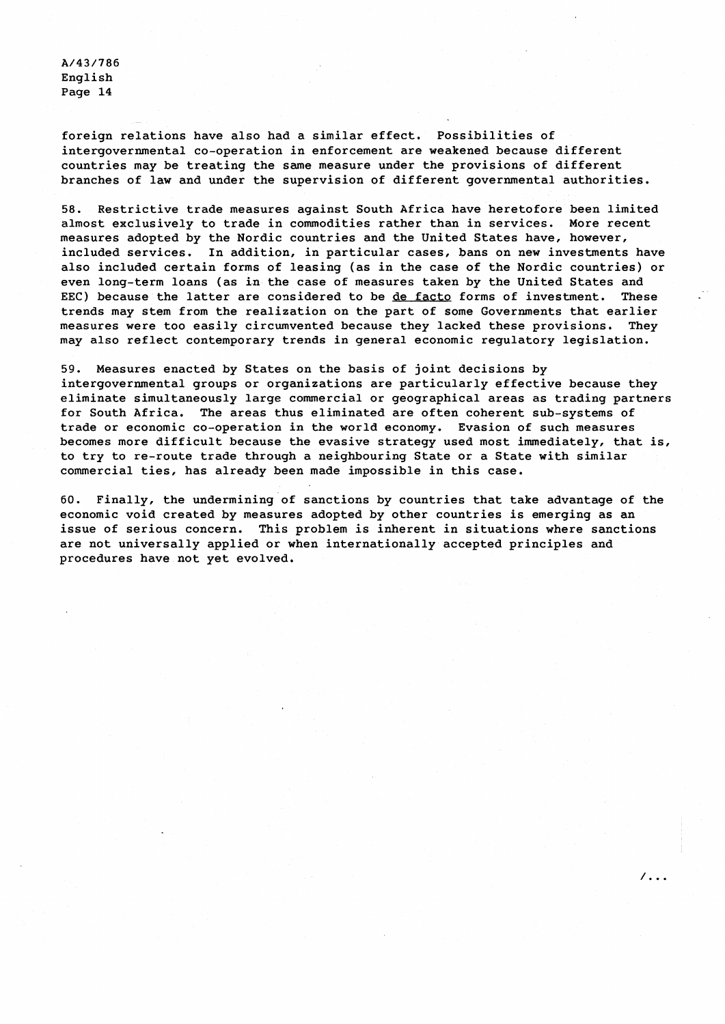foreign relations have also had a similar effect. Possibilities of intergovernmental co-operation in enforcement are weakened because different countries may be treating the same measure under the provisions of different branches of law and under the supervision of different governmental authorities.

58. Restrictive trade measures against South Africa have heretofore been limited almost exclusively to trade in commodities rather than in services. More recent measures adopted by the Nordic countries and the United States have, however, included services. In addition, in particular cases, bans on new investments have also included certain forms of leasing (as in the case of the Nordic countries) or even long-term loans (as in the case of measures taken by the United States and EEC) because the latter are considered to be de facto forms of investment. These trends may stem from the realization on the part of some Governments that earlier measures were too easily circumvented because they lacked these provisions. They may also reflect contemporary trends in general economic regulatory legislation.

59. Measures enacted by States on the basis of joint decisions by intergovernmental groups or organizations are particularly effective because they eliminate simultaneously large commercial or geographical areas as trading partners for South Africa. The areas thus eliminated are often coherent sub-systems of trade or economic co-operation in the world economy. Evasion of such measures becomes more difficult because the evasive strategy used most immediately, that is, to try to re-route trade through a neighbouring State or a State with similar commercial ties, has already been made impossible in this case.

60. Finally, the undermining of sanctions by countries that take advantage of the economic void created by measures adopted by other countries is emerging as an issue of serious concern. This problem is inherent in situations where sanctions are not universally applied or when internationally accepted principles and procedures have not yet evolved.

 $\sqrt{2}$ .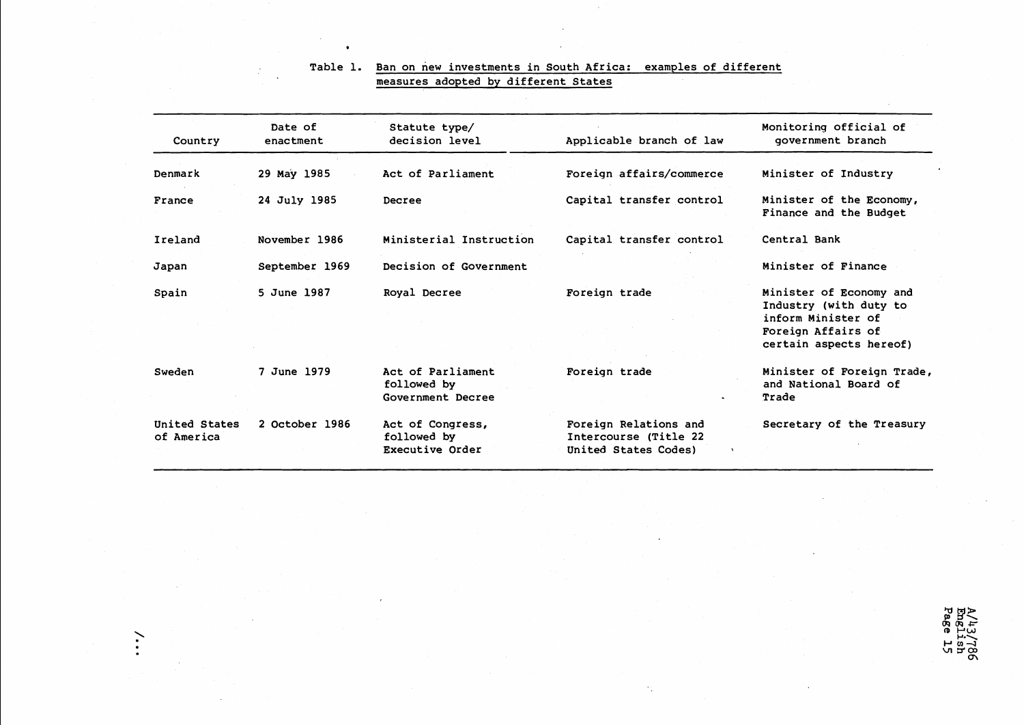| Country                     | Date of<br>enactment | Statute type/<br>decision level                       | Applicable branch of law                                               | Monitoring official of<br>government branch                                                                              |
|-----------------------------|----------------------|-------------------------------------------------------|------------------------------------------------------------------------|--------------------------------------------------------------------------------------------------------------------------|
|                             |                      |                                                       |                                                                        |                                                                                                                          |
| Denmark                     | 29 May 1985          | Act of Parliament                                     | Foreign affairs/commerce                                               | Minister of Industry                                                                                                     |
| France                      | 24 July 1985         | Decree                                                | Capital transfer control                                               | Minister of the Economy,<br>Finance and the Budget                                                                       |
| Ireland                     | November 1986        | Ministerial Instruction                               | Capital transfer control                                               | Central Bank                                                                                                             |
| Japan                       | September 1969       | Decision of Government                                |                                                                        | Minister of Finance                                                                                                      |
| Spain                       | 5 June 1987          | Royal Decree                                          | Foreign trade                                                          | Minister of Economy and<br>Industry (with duty to<br>inform Minister of<br>Foreign Affairs of<br>certain aspects hereof) |
| Sweden                      | 7 June 1979          | Act of Parliament<br>followed by<br>Government Decree | Foreign trade                                                          | Minister of Foreign Trade,<br>and National Board of<br>Trade                                                             |
| United States<br>of America | 2 October 1986       | Act of Congress,<br>followed by<br>Executive Order    | Foreign Relations and<br>Intercourse (Title 22<br>United States Codes) | Secretary of the Treasury                                                                                                |

 $\langle \sigma_{\rm{1}} \rangle$ 

# Table 1. Ban on new investments in South Africa: examples of different measures adopted by different States

 $\bullet$ 

 $\ddot{\cdot}$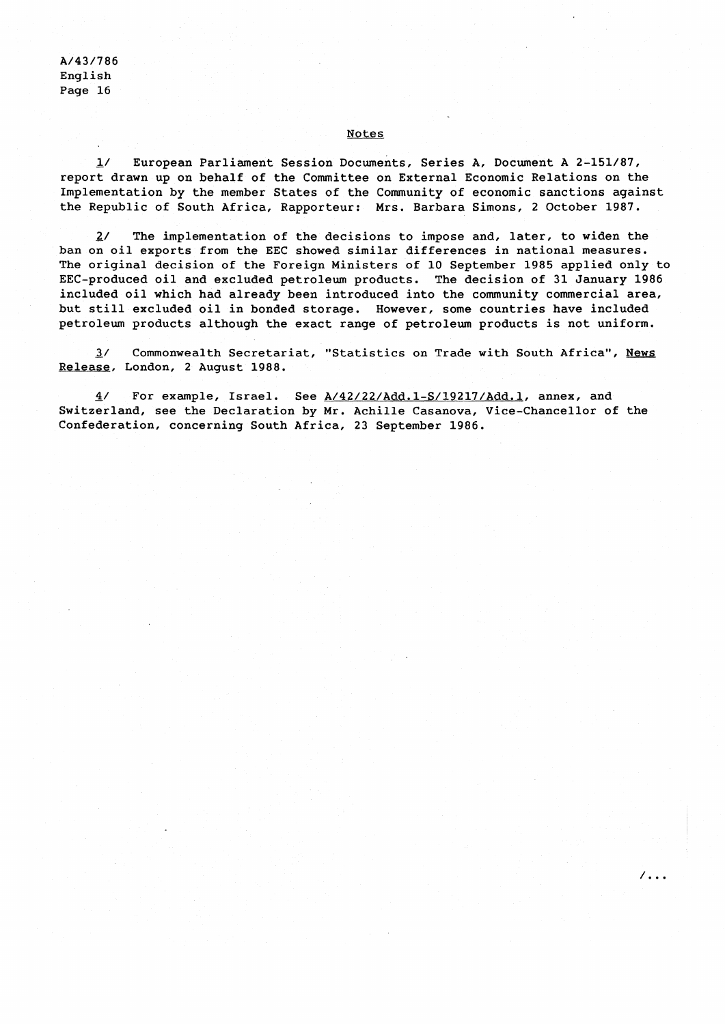#### Notes

1/ European Parliament Session Documents, Series A, Document A 2-151/87, report drawn up on behalf of the Committee on External Economic Relations on the Implementation by the member States of the Community of economic sanctions against the Republic of South Africa, Rapporteur: Mrs. Barbara Simons, 2 October 1987.

 $2/$  The implementation of the decisions to impose and, later, to widen the ban on oil exports from the EEC showed similar differences in national measures. The original decision of the Foreign Ministers of 10 September 1985 applied only to EEC-produced oil and excluded petroleum products. The decision of 31 January 1986 included oil which had already been introduced into the community commercial area, but still excluded oil in bonded storage. However, some countries have included petroleum products although the exact range of petroleum products is not uniform.

**3/** Commonwealth Secretariat, "Statistics on Trade with South Africa", News Release, London, 2 August 1988.

- 4/ For example, Israel. See **A/42/22/Add.l-S/19217/Add.l,** annex, and Switzerland, see the Declaration by Mr. Achille Casanova, Vice-Chancellor of the Confederation, concerning South Africa, 23 September 1986.

 $\overline{\phantom{a}}$ .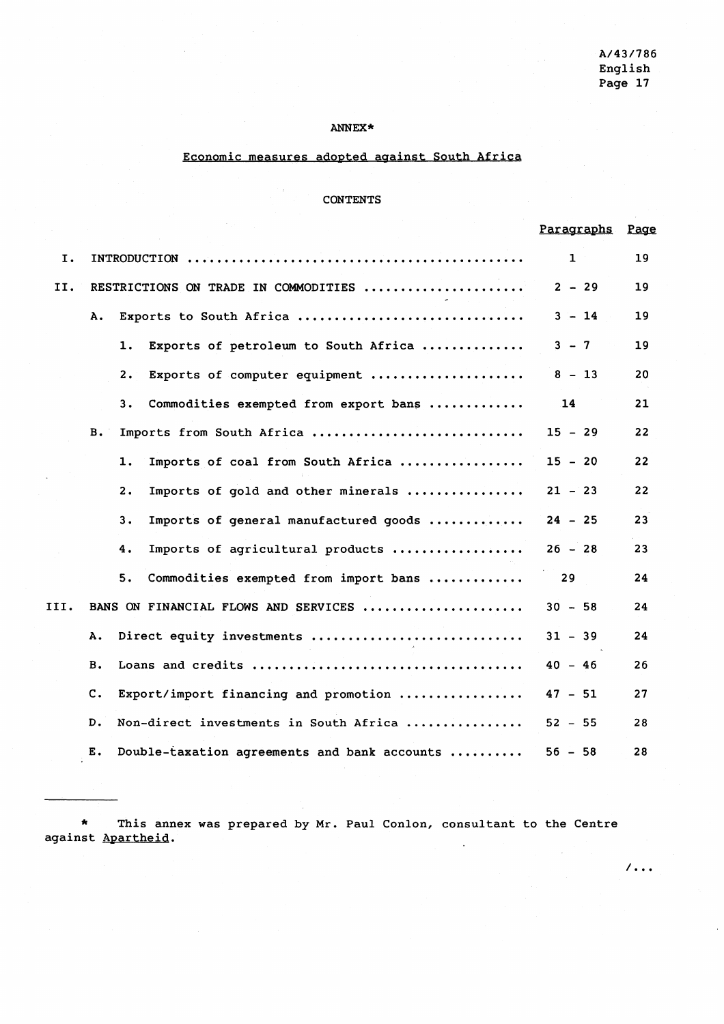$/ \, . \, . \, .$ 

# ANNEX\*

# Economic measures adopted against South Africa

# CONTENTS

|      |           |                                                       | Paragraphs   | Page |
|------|-----------|-------------------------------------------------------|--------------|------|
| I.   |           |                                                       | $\mathbf{1}$ | 19   |
| II.  |           | RESTRICTIONS ON TRADE IN COMMODITIES                  | $2 - 29$     | 19   |
|      | Α.        | Exports to South Africa                               | $3 - 14$     | 19   |
|      |           | $\mathbf 1$ .<br>Exports of petroleum to South Africa | $3 - 7$      | 19   |
|      |           | Exports of computer equipment<br>$\mathbf{2}$ .       | $8 - 13$     | 20   |
|      |           | 3.<br>Commodities exempted from export bans           | 14           | 21   |
|      | <b>B.</b> | Imports from South Africa                             | $15 - 29$    | 22   |
|      |           | Imports of coal from South Africa<br>ı.               | $15 - 20$    | 22   |
|      |           | 2.<br>Imports of gold and other minerals              | $21 - 23$    | 22   |
|      |           | 3.<br>Imports of general manufactured goods           | $24 - 25$    | 23   |
|      |           | 4.<br>Imports of agricultural products                | $26 - 28$    | 23   |
|      |           | 5.<br>Commodities exempted from import bans           | 29           | 24   |
| III. |           | BANS ON FINANCIAL FLOWS AND SERVICES                  | $30 - 58$    | 24   |
|      | Α.        | Direct equity investments                             | $31 - 39$    | 24   |
|      | в.        |                                                       | $40 - 46$    | 26   |
|      | c.        | Export/import financing and promotion                 | $47 - 51$    | 27   |
|      | D.        | Non-direct investments in South Africa                | $52 - 55$    | 28   |
|      | Е.        | Double-taxation agreements and bank accounts          | $56 - 58$    | 28   |

\* This annex was prepared by Mr. Paul Conlon, consultant to the Centre against Apartheid.  $\ddot{\phantom{a}}$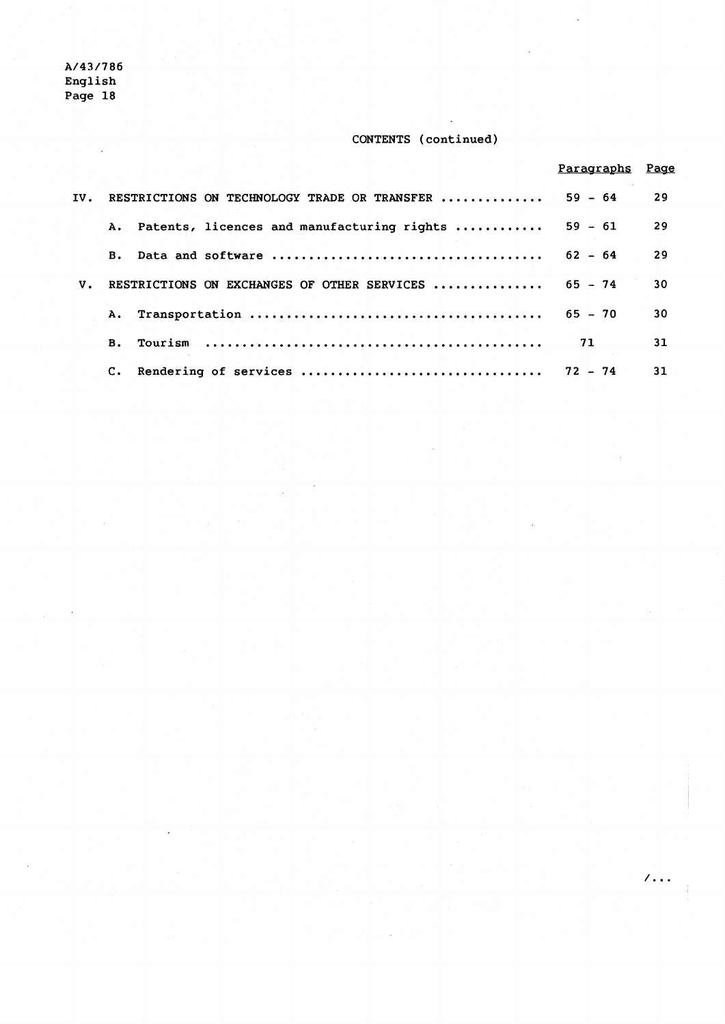# **CONTENTS (continued)**

 $\sqrt{16}$ 

|    |                                                      | Paragraphs | Page |
|----|------------------------------------------------------|------------|------|
|    | IV. RESTRICTIONS ON TECHNOLOGY TRADE OR TRANSFER     | $59 - 64$  | 29   |
|    | A. Patents, licences and manufacturing rights        | $59 - 61$  | 29   |
|    | <b>B.</b>                                            | $62 - 64$  | 29   |
| V. | RESTRICTIONS ON EXCHANGES OF OTHER SERVICES  65 - 74 |            | 30   |
|    |                                                      | $65 - 70$  | 30   |
|    | <b>B.</b>                                            | 71         | 31   |
|    | Rendering of services<br>$\mathbf{c}$ .              | $72 - 74$  | 31   |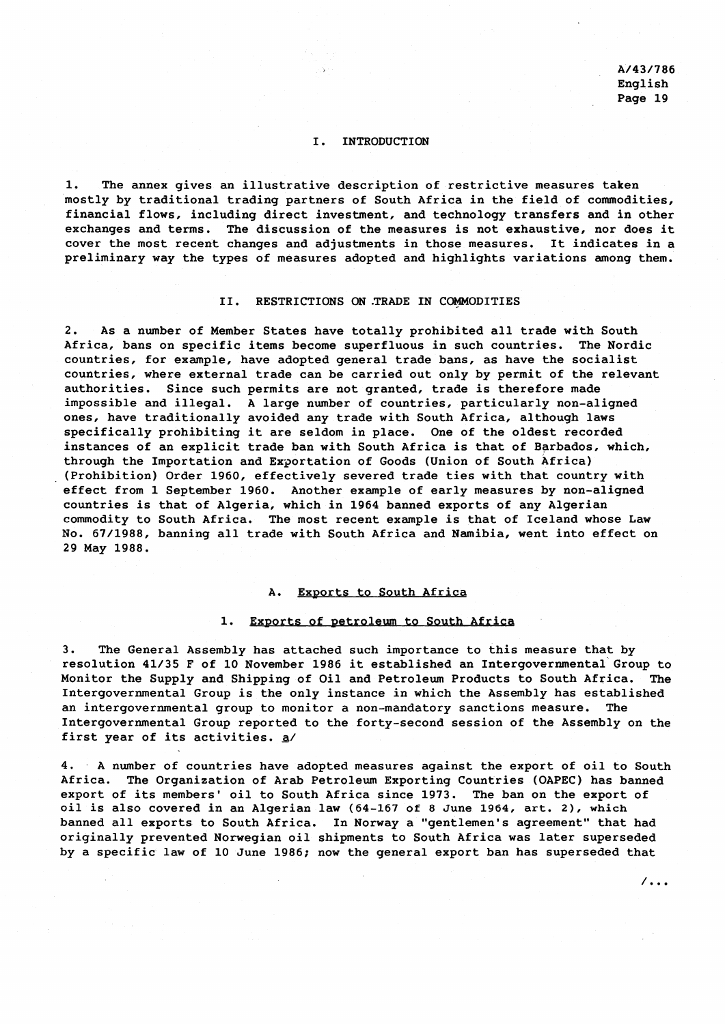$/$ ...

# I. INTRODUCTION

1. The annex gives an illustrative description of restrictive measures taken mostly by traditional trading partners of South Africa in the field of commodities, financial flows, including direct investment, and technology transfers and in other exchanges and terms. The discussion of the measures is not exhaustive, nor does it cover the most recent changes and adjustments in those measures. It indicates in a preliminary way the types of measures adopted and highlights variations among them.

# II. RESTRICTIONS ON TRADE IN COMMODITIES

2. As a number of Member States have totally prohibited all trade with South Africa, bans on specific items become superfluous in such countries. The Nordic countries, for example, have adopted general trade bans, as have the socialist countries, where external trade can be carried out only by permit of the relevant authorities. Since such permits are not granted, trade is therefore made impossible and illegal. A large number of countries, particularly non-aligned ones, have traditionally avoided any trade with South Africa, although laws specifically prohibiting it are seldom in place. One of the oldest recorded instances of an explicit trade ban with South Africa is that of Barbados, which, through the Importation and Exportation of Goods (Union of South Africa) (Prohibition) Order 1960, effectively severed trade ties with that country with effect from 1 September 1960. Another example of early measures by non-aligned countries is that of Algeria, which in 1964 banned exports of any Algerian commodity to South Africa. The most recent example is that of Iceland whose Law No. 67/1988, banning all trade with South Africa and Namibia, went into effect on 29 May 1988.

#### A. Exports to South Africa

#### 1. Exports of petroleum to South Africa

3. The General Assembly has attached such importance to this measure that by resolution 41/35 F of 10 November 1986 it established an Intergovernmental Group to Monitor the Supply and Shipping of Oil and Petroleum Products to South Africa. The Intergovernmental Group is the only instance in which the Assembly has established an intergovernmental group to monitor a non-mandatory sanctions measure. The Intergovernmental Group reported to the forty-second session of the Assembly on the first year of its activities. **a/** 

4. A number of countries have adopted measures against the export of oil to South Africa. The Organization of Arab Petroleum Exporting Countries (OAPEC) has banned export of its members' oil to South Africa since 1973. The ban on the export of oil is also covered in an Algerian law (64-167 of 8 June 1964, art. 2), which banned all exports to South Africa. In Norway a "gentlemen's agreement" that had originally prevented Norwegian oil shipments to South Africa was later superseded by a specific law of 10 June 1986; now the general export ban has superseded that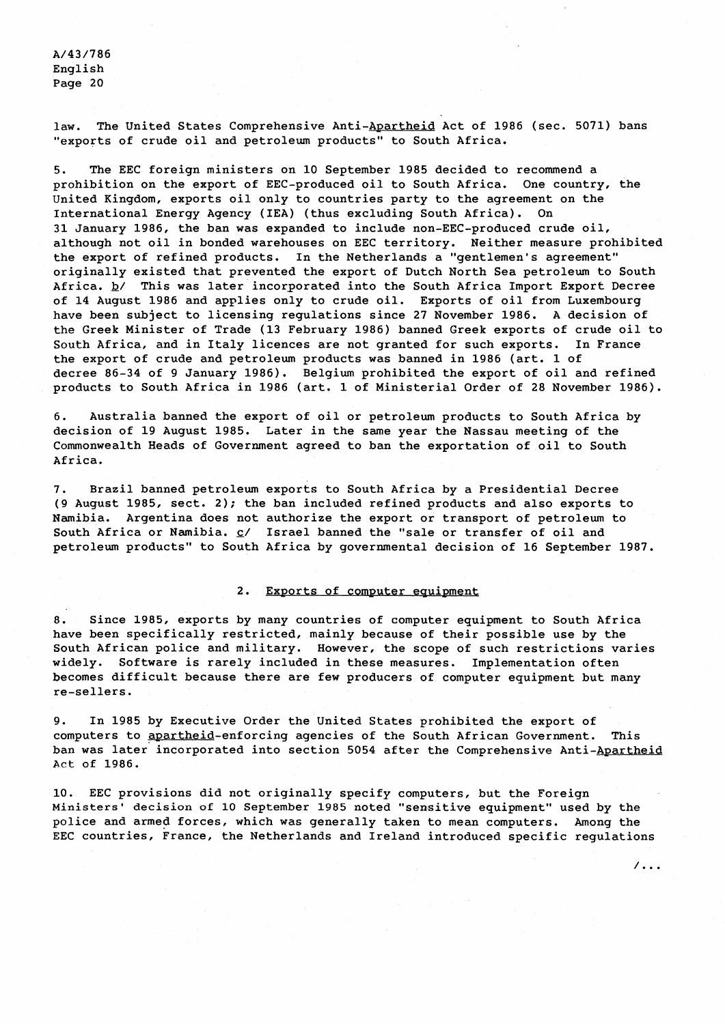law. The United States Comprehensive Anti-Apartheid Act of 1986 (sec. 5071) bans "exports of crude oil and petroleum products" to South Africa.

5. The EEC foreign ministers on 10 September 1985 decided to recommend a prohibition on the export of EEC-produced oil to South Africa. One country, the United Kingdom, exports oil only to countries party to the agreement on the International Energy Agency (IEA) (thus excluding South Africa). On 31 January 1986, the ban was expanded to include non-EEC-produced crude oil, although not oil in bonded warehouses on EEC territory. Neither measure prohibited the export of refined products. In the Netherlands a "gentlemen's agreement" originally existed that prevented the export of Dutch North Sea petroleum to South Africa. **b/** This was later incorporated into the South Africa Import Export Decree of 14 August 1986 and applies only to crude oil. Exports of oil from Luxembourg have been subject to licensing regulations since 27 November 1986. A decision of the Greek Minister of Trade (13 February 1986) banned Greek exports of crude oil to South Africa, and in Italy licences are not granted for such exports. In France the export of crude and petroleum products was banned in 1986 (art. 1 of decree 86-34 of 9 January 1986). Belgium prohibited the export of oil and refined products to South Africa in 1986 (art. 1 of Ministerial Order of 28 November 1986).

6. Australia banned the export of oil or petroleum products to South Africa by decision of 19 August 1985. Later in the same year the Nassau meeting of the Commonwealth Heads of Government agreed to ban the exportation of oil to South Africa.

**7.** Brazil banned petroleum exports to South Africa by a Presidential Decree (9 August 1985, sect. 2); the ban included refined products and also exports to Namibia. Argentina does not authorize the export or transport of petroleum to South Africa or Namibia. **c/** Israel banned the "sale or transfer of oil and petroleum products" to South Africa by governmental decision of 16 September 1987.

# 2. Exports of computer equipment

8. Since 1985, exports by many countries of computer equipment to South Africa have been specifically restricted, mainly because of their possible use by the South African police and military. However, the scope of such restrictions varies widely. Software is rarely included in these measures. Implementation often becomes difficult because there are few producers of computer equipment but many re-sellers.

9. In 1985 by Executive Order the United States prohibited the export of computers to apartheid-enforcing agencies of the South African Government. This ban was later incorporated into section 5054 after the Comprehensive Anti-Apartheid **Act** of 1986.

10. EEC provisions did not originally specify computers, but the Foreign Ministers' **decision of** 10 September 1985 noted "sensitive equipment" used by the police and armed forces, which was generally taken to mean computers. Among the EEC countries, France, the Netherlands and Ireland introduced specific regulations

 $/ \, . \, . \, .$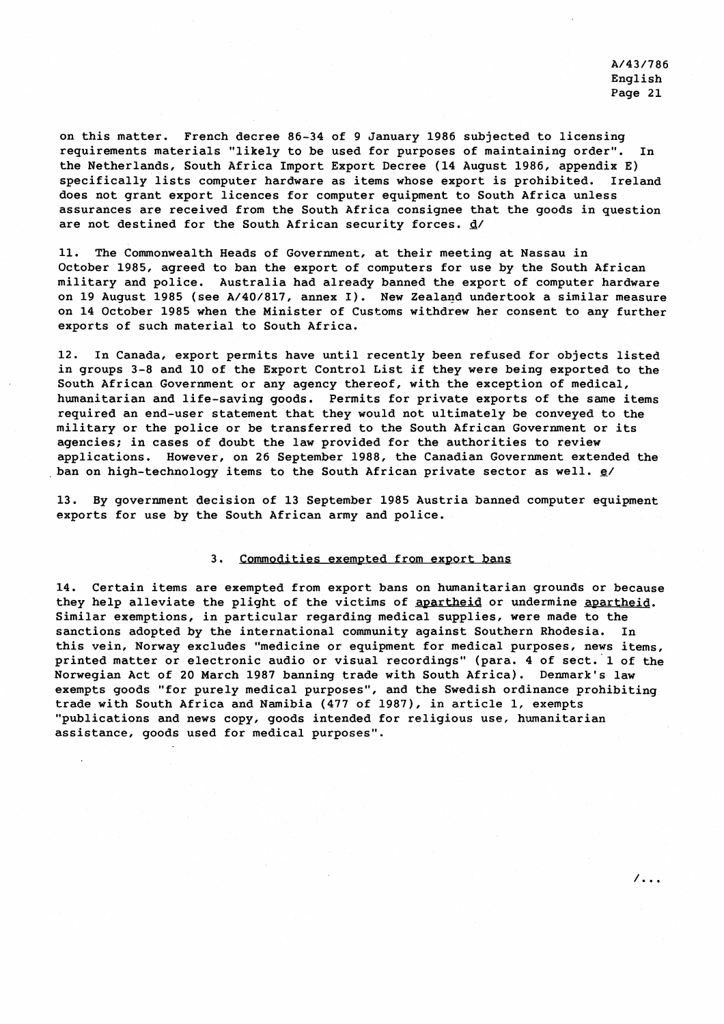$\overline{\phantom{a}}$ .

on this matter. French decree 86-34 of 9 January 1986 subjected to licensing requirements materials "likely to be used for purposes of maintaining order". In the Netherlands, South Africa Import Export Decree (14 August 1986, appendix E) specifically lists computer hardware as items whose export is prohibited. Ireland does not grant export licences for computer equipment to South Africa unless assurances are received from the South Africa consignee that the goods in question are not destined for the South African security forces. **d/** 

11. The Commonwealth Heads of Government, at their meeting at Nassau in October 1985, agreed to ban the export of computers for use by the South African military and police. Australia had already banned the export of computer hardware on 19 August 1985 (see A/40/817, annex I). New Zealand undertook a similar measure on 14 October 1985 when the Minister of Customs withdrew her consent to any further exports of such material to South Africa.

12. In Canada, export permits have until recently been refused for objects listed in groups 3-8 and 10 of the Export Control List if they were being exported to the South African Government or any agency thereof, with the exception of medical, humanitarian and life-saving goods. Permits for private exports of the same items required an end-user statement that they would not ultimately be conveyed to the military or the police or be transferred to the South African Government or its agencies; in cases of doubt the law provided for the authorities to review applications. However, on 26 September 1988, the Canadian Government extended the ban on high-technology items to the South African private sector as well. **e/** 

13. By government decision of 13 September 1985 Austria banned computer equipment exports for use by the South African army and police.

# 3. Commodities exempted from export bans

14. Certain items are exempted from export bans on humanitarian grounds or because they help alleviate the plight of the victims of apartheid or undermine apartheid. Similar exemptions, in particular regarding medical supplies, were made to the sanctions adopted by the international community against Southern Rhodesia. In this vein, Norway excludes "medicine or equipment for medical purposes, news items, printed matter or electronic audio or visual recordings" (para. 4 of sect. 1 of the Norwegian Act of 20 March 1987 banning trade with South Africa). Denmark's law exempts goods "for purely medical purposes", and the Swedish ordinance prohibiting trade with South Africa and Namibia (477 of 1987), in article 1, exempts "publications and news copy, goods intended for religious use, humanitarian assistance, goods used for medical purposes".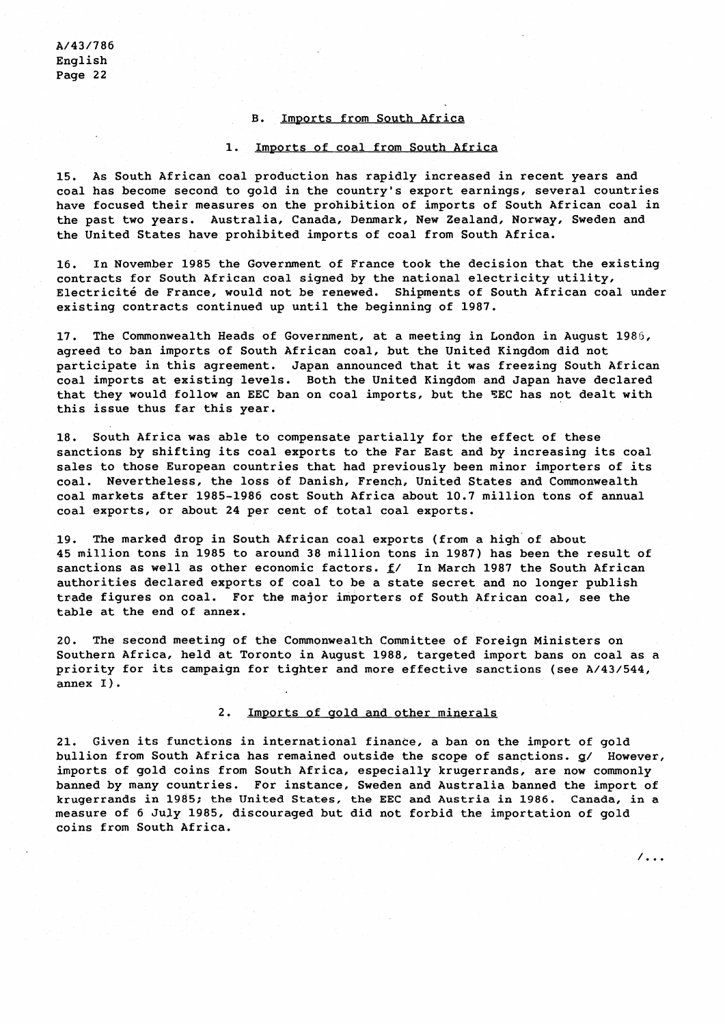#### B. Imports from South Africa

#### 1. Imports of coal from South Africa

15. As South African coal production has rapidly increased in recent years and coal has become second to gold in the country's export earnings, several countries have focused their measures on the prohibition of imports of South African coal in the past two years. Australia, Canada, Denmark, New Zealand, Norway, Sweden and the United States have prohibited imports of coal from South Africa.

16. In November 1985 the Government of France took the decision that the existing contracts for South African coal signed by the national electricity utility, Electricité de France, would not be renewed. Shipments of South African coal under existing contracts continued up until the beginning of 1987.

17. The Commonwealth Heads of Government, at a meeting in London in August 1986, agreed to ban imports of South African coal, but the United Kingdom did not participate in this agreement. Japan announced that it was freezing South African coal imports at existing levels. Both the United Kingdom and Japan have declared that they would follow an EEC ban on coal imports, but the TEC has not dealt with this issue thus far this year.

18. South Africa was able to compensate partially for the effect of these sanctions by shifting its coal exports to the Far East and by increasing its coal sales to those European countries that had previously been minor importers of its coal. Nevertheless, the loss of Danish, French, United States and Commonwealth coal markets after 1985-1986 cost South Africa about 10.7 million tons of annual coal exports, or about 24 per cent of total coal exports.

19. The marked drop in South African coal exports (from a high of about 45 million tons in 1985 to around 38 million tons in 1987) has been the result of sanctions as well as other economic factors. **f/** In March 1987 the South African authorities declared exports of coal to be a state secret and no longer publish trade figures on coal. For the major importers of South African coal, see the table at the end of annex.

20. The second meeting of the Commonwealth Committee of Foreign Ministers on Southern Africa, held at Toronto in August 1988, targeted import bans on coal as a priority for its campaign for tighter and more effective sanctions (see A/43/544, annex I).

### 2. Imports of gold and other minerals

21. Given its functions in international finance, a ban on the import of gold bullion from South Africa has remained outside the scope of sanctions. **g/** However, imports of gold coins from South Africa, especially krugerrands, are now commonly banned by many countries. For instance, Sweden and Australia banned the import of krugerrands in 1985; the United States, the EEC and Austria in 1986. Canada, in a measure of 6 July 1985, discouraged but did not forbid the importation of gold coins from South Africa.

 $\sqrt{100}$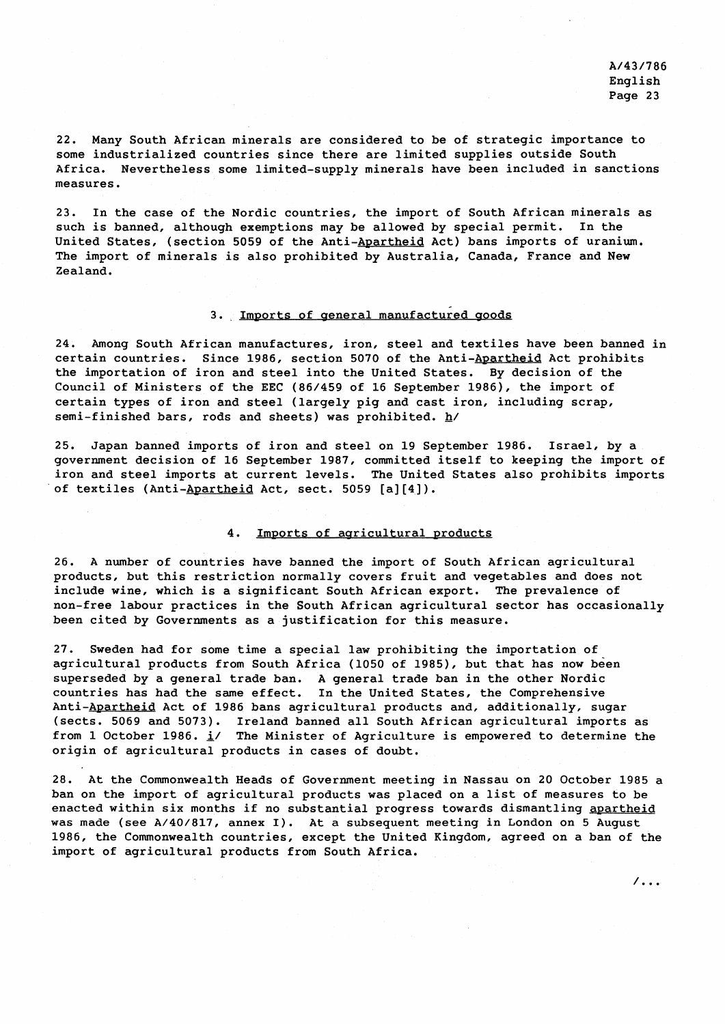$\overline{\phantom{a}}$ .

22. Many South African minerals are considered to be of strategic importance to some industrialized countries since there are limited supplies outside South Africa. Nevertheless some limited-supply minerals have been included in sanctions measures.

23. In the case of the Nordic countries, the import of South African minerals as such is banned, although exemptions may be allowed by special permit. In the United States, (section 5059 of the Anti-Apartheid Act) bans imports of uranium. The import of minerals is also prohibited by Australia, Canada, France and New Zealand.

# 3. Imports of general manufactured goods

24. Among South African manufactures, iron, steel and textiles have been banned in certain countries. Since 1986, section 5070 of the Anti-Apartheid Act prohibits the importation of iron and steel into the United States. By decision of the Council of Ministers of the EEC (86/459 of 16 September 1986), the import of certain types of iron and steel (largely pig and cast iron, including scrap, semi-finished bars, rods and sheets) was prohibited. **h/** 

25. Japan banned imports of iron and steel on 19 September 1986. Israel, by a government decision of 16 September 1987, committed itself to keeping the import of iron and steel imports at current levels. The United States also prohibits imports of textiles (Anti-Apartheid Act, sect. 5059 [a][4]).

#### 4. Imports of agricultural products

26. A number of countries have banned the import of South African agricultural products, but this restriction normally covers fruit and vegetables and does not include wine, which is a significant South African export. The prevalence of non-free labour practices in the South African agricultural sector has occasionally been cited by Governments as a justification for this measure.

27. Sweden had for some time a special law prohibiting the importation of agricultural products from South Africa (1050 of 1985), but that has now been superseded by a general trade ban. A general trade ban in the other Nordic countries has had the same effect. In the United States, the Comprehensive Anti-Apartheid Act of 1986 bans agricultural products and, additionally, sugar (sects. 5069 and 5073). Ireland banned all South African agricultural imports as from 1 October 1986. **i/** The Minister of Agriculture is empowered to determine the origin of agricultural products in cases of doubt.

28. At the Commonwealth Heads of Government meeting in Nassau on 20 October 1985 a ban on the import of agricultural products was placed on a list of measures to be enacted within six months if no substantial progress towards dismantling apartheid was made (see A/40/817, annex I). At a subsequent meeting in London on 5 August 1986, the Commonwealth countries, except the United Kingdom, agreed on a ban of the import of agricultural products from South Africa.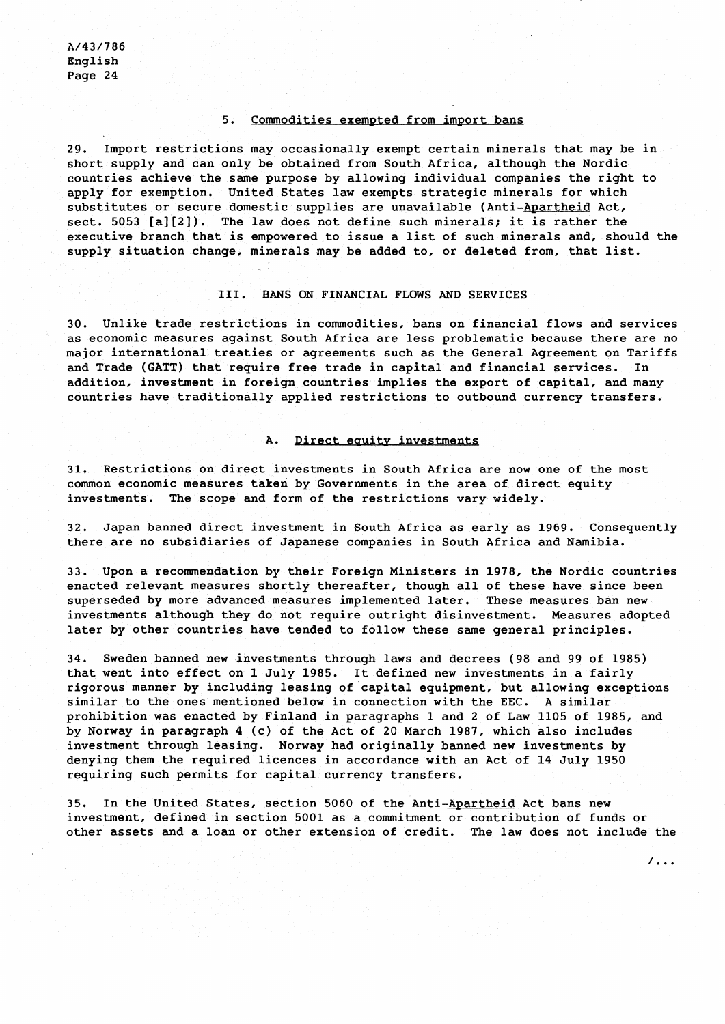# 5. Commodities exempted from import bans

29. Import restrictions may occasionally exempt certain minerals that may be in short supply and can only be obtained from South Africa, although the Nordic countries achieve the same purpose by allowing individual companies the right to apply for exemption. United States law exempts strategic minerals for which substitutes or secure domestic supplies are unavailable (Anti-Apartheid Act, sect. 5053 [a][2]). The law does not define such minerals; it is rather the executive branch that is empowered to issue a list of such minerals and, should the supply situation change, minerals may be added to, or deleted from, that list.

#### 111. BANS ON FINANCIAL FLOWS AND SERVICES

30. Unlike trade restrictions in commodities, bans on financial flows and services as economic measures against South Africa are less problematic because there are no major international treaties or agreements such as the General Agreement on Tariffs and Trade (GATT) that require free trade in capital and financial services. In addition, investment in foreign countries implies the export of capital, and many countries have traditionally applied restrictions to outbound currency transfers.

## A. Direct equity investments

31. Restrictions on direct investments in South Africa are now one of the most common economic measures taken by Governments in the area of direct equity investments. The scope and form of the restrictions vary widely.

32. Japan banned direct investment in South Africa as early as 1969. Consequently there are no subsidiaries of Japanese companies in South Africa and Namibia.

33. Upon a recommendation by their Foreign Ministers in 1978, the Nordic countries enacted relevant measures shortly thereafter, though all of these have since been superseded by more advanced measures implemented later. These measures ban new investments although they do not require outright disinvestment. Measures adopted later by other countries have tended to follow these same general principles.

34. Sweden banned new investments through laws and decrees (98 and 99 of 1985) that went into effect on 1 July 1985. It defined new investments in a fairly rigorous manner by including leasing of capital equipment, but allowing exceptions similar to the ones mentioned below in connection with the EEC. A similar prohibition was enacted by Finland in paragraphs 1 and 2 of Law 1105 of 1985, and by Norway in paragraph 4 (c) of the Act of 20 March 1987, which also includes investment through leasing. Norway had originally banned new investments by denying them the required licences in accordance with an Act of 14 July 1950 requiring such permits for capital currency transfers.

35. In the United States, section 5060 of the Anti-Apartheid Act bans new investment, defined in section 5001 as a commitment or contribution of funds or other assets and a loan or other extension of credit. The law does not include the

 $\overline{\phantom{a}}$ .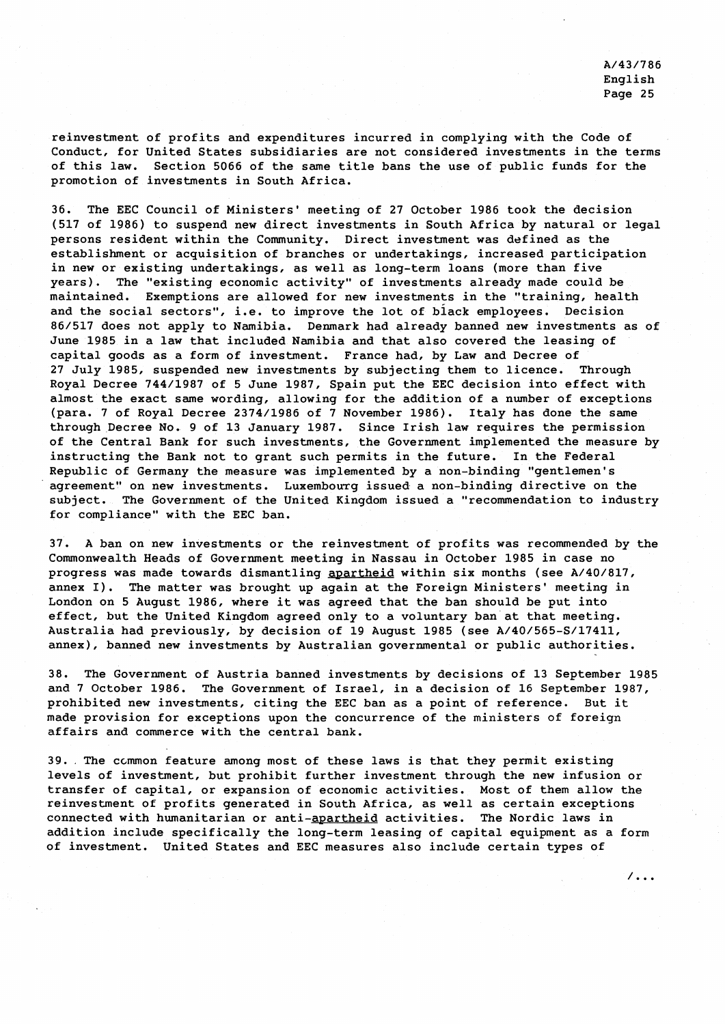7. . .

reinvestment of profits and expenditures incurred in complying with the Code of Conduct, for United States subsidiaries are not considered investments in the terms of this law. Section 5066 of the same title bans the use of public funds for the promotion of investments in South Africa.

36. The EEC Council of Ministers' meeting of 27 October 1986 took the decision (517 of 1986) to suspend new direct investments in South Africa by natural or legal persons resident within the Community. Direct investment was defined as the establishment or acquisition of branches or undertakings, increased participation in new or existing undertakings, as well as long-term loans (more than five years). The "existing economic activity" of investments already made could be maintained. Exemptions are allowed for new investments in the "training, health and the social sectors", i.e. to improve the lot of black employees. Decision 86/517 does not apply to Namibia. Denmark had already banned new investments as of June 1985 in a law that included Namibia and that also covered the leasing of capital goods as a form of investment. France had, by Law and Decree of 27 July 1985, suspended new investments by subjecting them to licence. Through Royal Decree 744/1987 of 5 June 1987, Spain put the EEC decision into effect with almost the exact same wording, allowing for the addition of a number of exceptions (para. 7 of Royal Decree 2374/1986 of 7 November 1986). Italy has done the same through Decree No. 9 of 13 January 1987. Since Irish law requires the permission of the Central Bank for such investments, the Government implemented the measure by instructing the Bank not to grant such permits in the future. In the Federal Republic of Germany the measure was implemented by a non-binding "gentlemen's agreement" on new investments. Luxembourg issued a non-binding directive on the subject. The Government of the United Kingdom issued a "recommendation to industry for compliance" with the EEC ban.

37. A ban on new investments or the reinvestment of profits was recommended by the Commonwealth Heads of Government meeting in Nassau in October 1985 in case no progress was made towards dismantling apartheid within six months (see A/40/817, annex I). The matter was brought up again at the Foreign Ministers' meeting in London on 5 August 1986, where it was agreed that the ban should be put into effect, but the United Kingdom agreed only to a voluntary ban at that meeting. Australia had previously, by decision of 19 August 1985 (see A/40/565-S/17411, annex), banned new investments by Australian governmental or public authorities.

38. The Government of Austria banned investments by decisions of 13 September 1985 and 7 October 1986. The Government of Israel, in a decision of 16 September 1987, prohibited new investments, citing the EEC ban as a point of reference. But it made provision for exceptions upon the concurrence of the ministers of foreign affairs and commerce with the central bank.

39.. The ccmrnon feature among most of these laws is that they permit existing levels of investment, but prohibit further investment through the new infusion or transfer of capital, or expansion of economic activities. Most of them allow the reinvestment of profits generated in South Africa, as well as certain exceptions connected with humanitarian or anti-apartheid activities. The Nordic laws in addition include specifically the long-term leasing of capital equipment as a form of investment. United States and EEC measures also include certain types of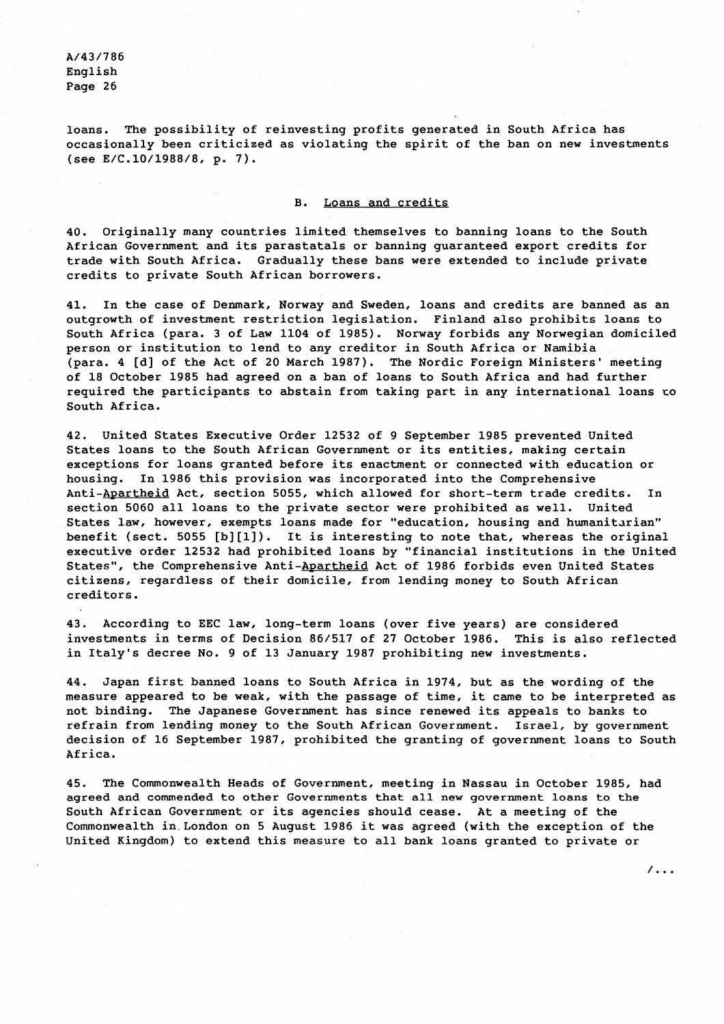loans. The possibility of reinvesting profits generated in South Africa has occasionally been criticized as violating the spirit of the ban on new investments (see E/C.10/1988/8, p. 7).

# B. Loans and credits

40. Originally many countries limited themselves to banning loans to the South African Government and its parastatals or banning guaranteed export credits for trade with South Africa. Gradually these bans were extended to include private credits to private South African borrowers.

41. In the case of Denmark, Norway and Sweden, loans and credits are banned as an outgrowth of investment restriction legislation. Finland also prohibits loans to South Africa (para. 3 of Law 1104 of 1985). Norway forbids any Norwegian domiciled person or institution to lend to any creditor in South Africa or Namibia (para. 4 [dl of the Act of 20 March 1987). The Nordic Foreign Ministers' meeting of 18 October 1985 had agreed on a ban of loans to South Africa and had further required the participants to abstain from taking part in any international loans to South Africa.

42. United States Executive Order 12532 of 9 September 1985 prevented United States loans to the South African Government or its entities, making certain exceptions for loans granted before its enactment or connected with education or housing. In 1986 this provision was incorporated into the Comprehensive Anti-Apartheid Act, section 5055, which allowed for short-term trade credits. In section 5060 all loans to the private sector were prohibited as well. United States law, however, exempts loans made for "education, housing and humanitarian" benefit (sect. 5055 [b][l]). It is interesting to note that, whereas the original executive order 12532 had prohibited loans by "financial institutions in the United States", the Comprehensive Anti-Apartheid Act of 1986 forbids even United States citizens, regardless of their domicile, from lending money to South African creditors.

43. According to EEC law, long-term loans (over five years) are considered investments in terms of Decision 86/517 of 27 October 1986. This is also reflected in Italy's decree No. 9 of 13 January 1987 prohibiting new investments.

44. Japan first banned loans to South Africa in 1974, but as the wording of the measure appeared to be weak, with the passage of time, it came to be interpreted as not binding. The Japanese Government has since renewed its appeals to banks to refrain from lending money to the South African Government. Israel, by government decision of 16 September 1987, prohibited the granting of government loans to South Africa.

45. The Commonwealth Heads of Government, meeting in Nassau in October 1985, had agreed and commended to other Governments that all new government loans to the South African Government or its agencies should cease. At a meeting of the Commonwealth in London on 5 August 1986 it was agreed (with the exception of the United Kingdom) to extend this measure to all bank loans granted to private or

 $/$ ...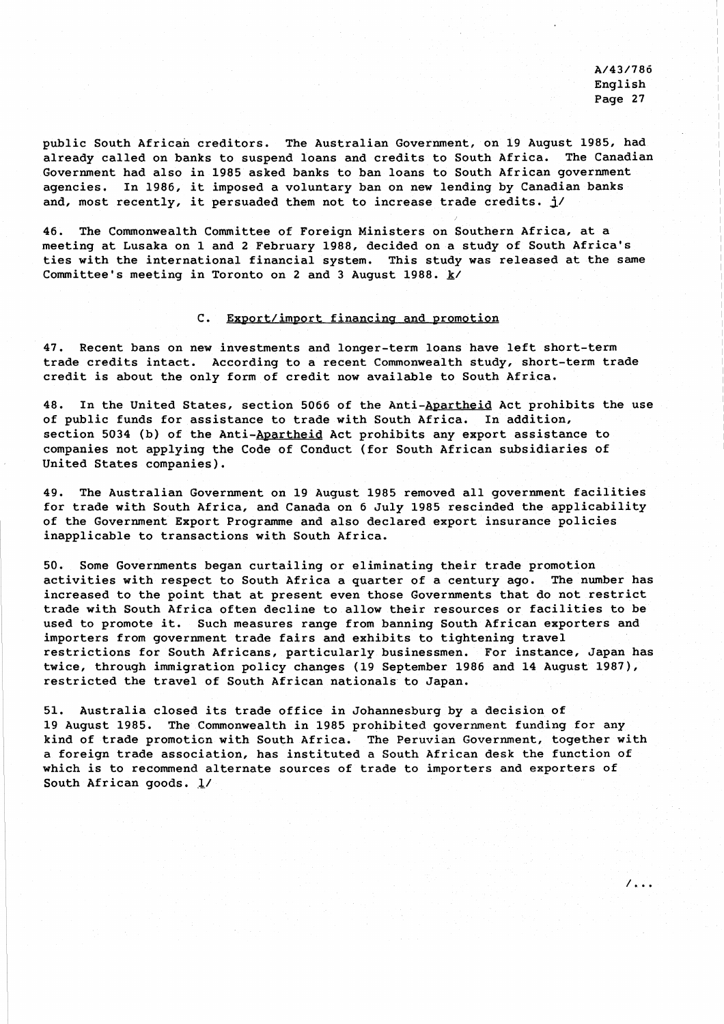7. . .

public South African creditors. The Australian Government, on 19 August 1985, had already called on banks to suspend loans and credits to South Africa. The Canadian Government had also in 1985 asked banks to ban loans to South African government agencies. In 1986, it imposed a voluntary ban on new lending by Canadian banks and, most recently, it persuaded them not to increase trade credits.  $\frac{1}{2}$ 

46. The Commonwealth Committee of Foreign Ministers on Southern Africa, at a meeting at Lusaka on 1 and 2 February 1988, decided on a study of South Africa's ties with the international financial system. This study was released at the same Committee's meeting in Toronto on 2 and 3 August 1988. **k/** 

# C. Export/import financing and promotion

47. Recent bans on new investments and longer-term loans have left short-term trade credits intact. According to a recent Commonwealth study, short-term trade credit is about the only form of credit now available to South Africa.

48. In the United States, section 5066 of the Anti-Apartheid Act prohibits the use of public funds for assistance to trade with South Africa. In addition, section 5034 (b) of the Anti-Apartheid Act prohibits any export assistance to companies not applying the Code of Conduct (for South African subsidiaries of United States companies).

49. The Australian Government on 19 August 1985 removed all government facilities for trade with South Africa, and Canada on 6 July 1985 rescinded the applicability of the Government Export Programme and also declared export insurance policies inapplicable to transactions with South Africa.

50. Some Governments began curtailing or eliminating their trade promotion activities with respect to South Africa a quarter of a century ago. The number has increased to the point that at present even those Governments that do not restrict trade with South Africa often decline to allow their resources or facilities to be used to promote it. Such measures range from banning South African exporters and importers from government trade fairs and exhibits to tightening travel restrictions for South Africans, particularly businessmen. For instance, Japan has twice, through immigration policy changes (19 September 1986 and 14 August 1987), restricted the travel of South African nationals to Japan.

51. Australia closed its trade office in Johannesburg by a decision of 19 August 1985. The Commonwealth in 1985 prohibited government funding for any kind of trade promoticn with South Africa. The Peruvian Government, together with a foreign trade association, has instituted a South African desk the function of which is to recommend alternate sources of trade to importers and exporters of South African goods. **a/**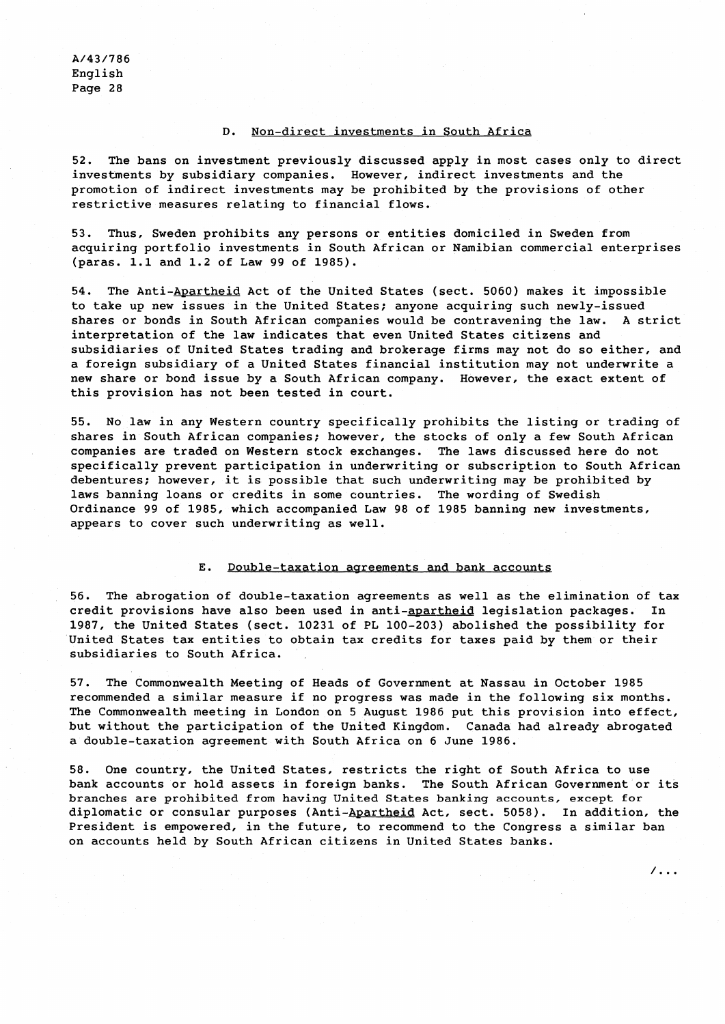# D. Non-direct investments in South Africa

52. The bans on investment previously discussed apply in most cases only to direct investments by subsidiary companies. However, indirect investments and the promotion of indirect investments may be prohibited by the provisions of other restrictive measures relating to financial flows.

53. Thus, Sweden prohibits any persons or entities domiciled in Sweden from acquiring portfolio investments in South African or Namibian commercial enterprises (paras. 1.1 and 1.2 of Law 99 of 1985).

54. The Anti-Apartheid Act of the United States (sect. 5060) makes it impossible to take up new issues in the United States; anyone acquiring such newly-issued shares or bonds in South African companies would be contravening the law. A strict interpretation of the law indicates that even United States citizens and subsidiaries of United States trading and brokerage firms may not do so either, and a foreign subsidiary of a United States financial institution may not underwrite a new share or bond issue by a South African company. However, the exact extent of this provision has not been tested in court.

55. No law in any Western country specifically prohibits the listing or trading of shares in South African companies; however, the stocks of only a few South African companies are traded on Western stock exchanges. The laws discussed here do not specifically prevent participation in underwriting or subscription to South African debentures: however, it is possible that such underwriting may be prohibited by laws banning loans or credits in some countries. The wording of Swedish Ordinance 99 of 1985, which accompanied Law 98 of 1985 banning new investments, appears to cover such underwriting as well.

#### E. Double-taxation agreements and bank accounts

56. The abrogation of double-taxation agreements as well as the elimination of tax credit provisions have also been used in anti-apartheid legislation packages. In 1987, the United States (sect. 10231 of PL 100-203) abolished the possibility for United States tax entities to obtain tax credits for taxes paid by them or their subsidiaries to South Africa.

57. The Commonwealth Meeting of Heads of Government at Nassau in October 1985 recommended a similar measure if no progress was made in the following six months. The Commonwealth meeting in London on 5 August 1986 put this provision into effect, but without the participation of the United Kingdom. Canada had already abrogated a double-taxation agreement with South Africa on 6 June 1986.

58. One country, the United States, restricts the right of South Africa to use bank accounts or hold assecs in foreign banks. The South African Government or its branches are prohibited from having United States banking accounts, except for diplomatic or consular purposes (Anti-Apartheid Act, sect. 5058). In addition, the President is empowered, in the future, to recommend to the Congress a similar ban on accounts held by South African citizens in United States banks.

 $/$ ...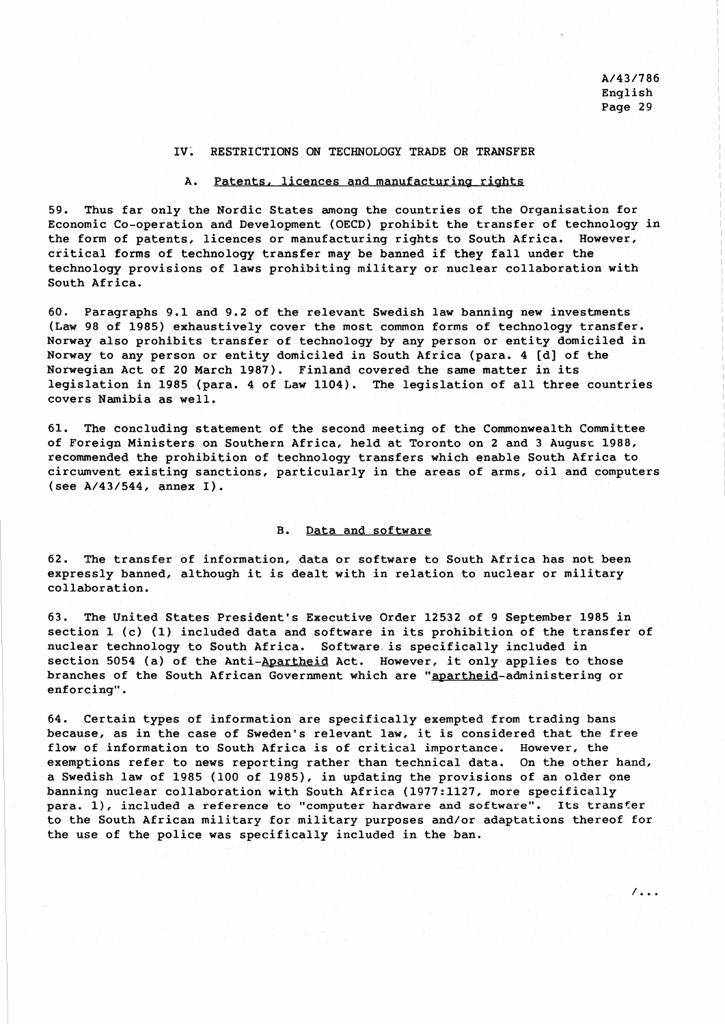$\sqrt{1}$ .

### IV. RESTRICTIONS ON TECHNOLOGY TRADE OR TRANSFER

# A. Patents, licences and manufacturing rights

59. Thus far only the Nordic States among the countries of the Organisation for Economic Co-operation and Development (OECD) prohibit the transfer of technology in the form of patents, licences or manufacturing rights to South Africa. However, critical forms of technology transfer may be banned if they fall under the technology provisions of laws prohibiting military or nuclear collaboration with South Africa.

60. Paragraphs 9.1 and 9.2 of the relevant Swedish law banning new investments (Law 98 of 1985) exhaustively cover the most common forms of technology transfer. Norway also prohibits transfer of technology by any person or entity domiciled in Norway to any person or entity domiciled in South Africa (para. 4 [d] of the Norwegian Act of 20 March 1987). Finland covered the same matter in its legislation in 1985 (para. 4 of Law 1104). The legislation of all three countries covers Namibia as well.

61. The concluding statement of the second meeting of the Commonwealth Committee of Foreign Ministers on Southern Africa, held at Toronto on 2 and 3 Augusr 1988, recommended the prohibition of technology transfers which enable South Africa to circumvent existing sanctions, particularly in the areas of arms, oil and computers (see A/43/544, annex I).

#### B. Data and software

62. The transfer of information, data or software to South Africa has not been expressly banned, although it is dealt with in relation to nuclear or military collaboration.

63. The United States President's Executive Order 12532 of 9 September 1985 in section 1 (c) (1) included data and software in its prohibition of the transfer of nuclear technology to South Africa. Software is specifically included in section 5054 (a) of the Anti-Apartheid Act. However, it only applies to those branches of the South African Government which are "apartheid-administering or enforcing".

64. Certain types of information are specifically exempted from trading bans because, as in the case of Sweden's relevant law, it is considered that the free flow of information to South Africa is of critical importance. However, the exemptions refer to news reporting rather than technical data. On the other hand, a Swedish law of 1985 (100 of 1985), in updating the provisions of an older one banning nuclear collaboration with South Africa (1977:1127, more specifically para. I), included a reference to "computer hardware and software". Its transfer to the South African military for military purposes and/or adaptations thereof for the use of the police was specifically included in the ban.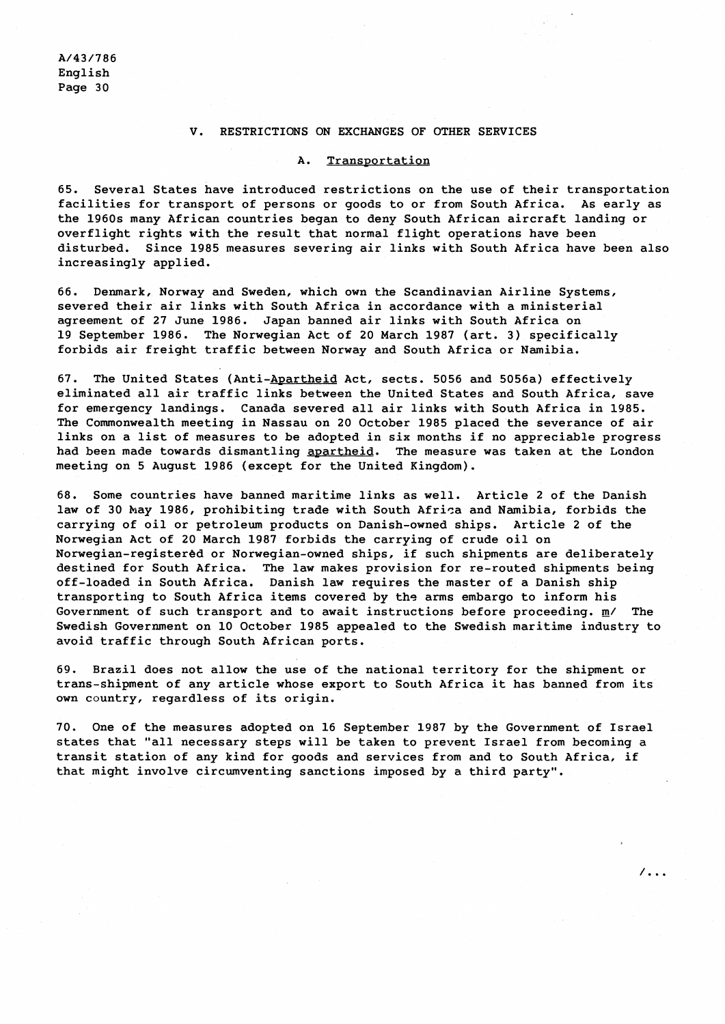# V. RESTRICTIONS ON EXCHANGES OF OTHER SERVICES

#### A. Transportation

65. Several States have introduced restrictions on the use of their transportation facilities for transport of persons or goods to or from South Africa. As early as the 1960s many African countries began to deny South African aircraft landing or overflight rights with the result that normal flight operations have been disturbed. Since 1985 measures severing air links with South Africa have been also increasingly applied.

66. Denmark, Norway and Sweden, which own the Scandinavian Airline Systems, severed their air links with South Africa in accordance with a ministerial agreement of 27 June 1986. Japan banned air links with South Africa on 19 September 1986. The Norwegian Act of 20 March 1987 (art. 3) specifically forbids air freight traffic between Norway and South Africa or Namibia.

67. The United States (Anti-Apartheid Act, sects. 5056 and 5056a) effectively eliminated all air traffic links between the United States and South Africa, save for emergency landings. Canada severed all air links with South Africa in 1985. The Commonwealth meeting in Nassau on 20 October 1985 placed the severance of air links on a list of measures to be adopted in six months if no appreciable progress had been made towards dismantling apartheid. The measure was taken at the London meeting on 5 August 1986 (except for the United Kingdom).

68. Some countries have banned maritime links as well. Article 2 of the Danish law of 30 May 1986, prohibiting trade with South Africa and Namibia, forbids the carrying of oil or petroleum products on Danish-owned ships. Article 2 of the Norwegian Act of 20 March 1987 forbids the carrying of crude oil on Norwegian-registered or Norwegian-owned ships, if such shipments are deliberately destined for South Africa. The law makes provision for re-routed shipments being off-loaded in South Africa. Danish law requires the master of a Danish ship transporting to South Africa items covered by ths arms embargo to inform his Government of such transport and to await instructions before proceeding. **m/** The Swedish Government on 10 October 1985 appealed to the Swedish maritime industry to avoid traffic through South African ports.

69. Brazil does not allow the use of the national territory for the shipment or trans-shipment of any article whose export to South Africa it has banned from its own country, regardless of its origin.

70. One of the measures adopted on 16 September 1987 by the Government of Israel states that "all necessary steps will be taken to prevent Israel from becoming a transit station of any kind for goods and services from and to South Africa, if that might involve circumventing sanctions imposed by a third party".

 $\sqrt{100}$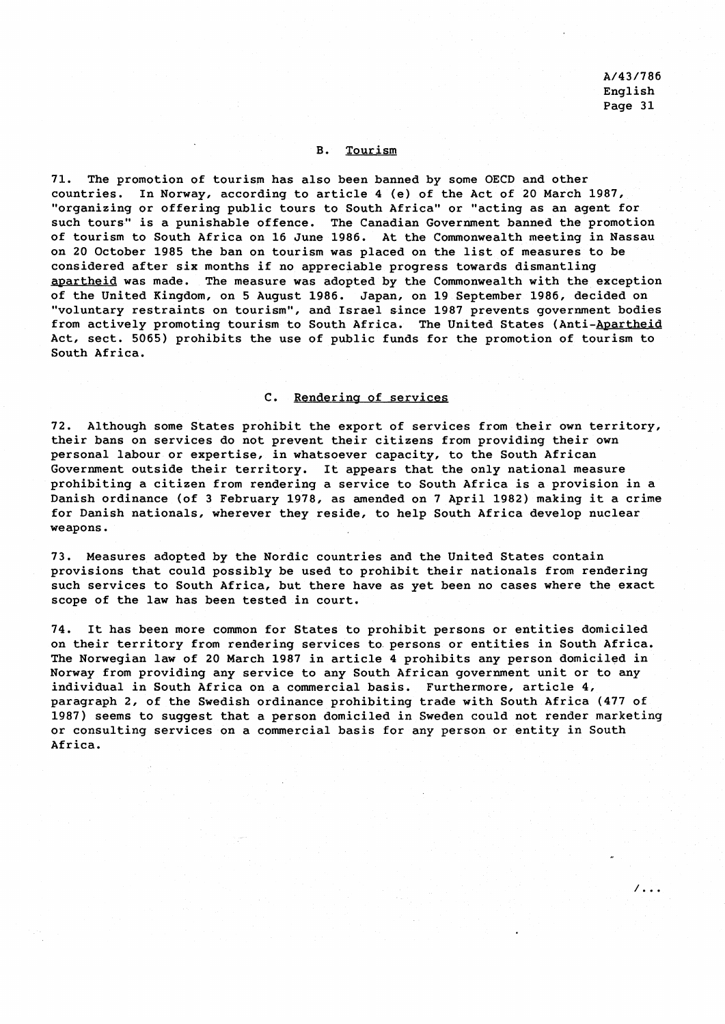$\sqrt{1+i}$ 

#### B. Tourism

71. The promotion of tourism has also been banned by some OECD and other countries. In Norway, according to article 4 (e) of the Act of 20 March 1987, "organizing or offering public tours to South Africa" or "acting as an agent for such tours" is a punishable offence. The Canadian Government banned the promotion of tourism to South Africa on 16 June 1986. At the Commonwealth meeting in Nassau on 20 October 1985 the ban on tourism was placed on the list of measures to be considered after six months if no appreciable progress towards dismantling apartheid was made. The measure was adopted by the Commonwealth with the exception of the United Kingdom, on 5 August 1986. Japan, on 19 September 1986, decided on "voluntary restraints on tourism", and Israel since 1987 prevents government bodies from actively promoting tourism to South Africa. The United States (Anti-Apartheid Act, sect. 5065) prohibits the use of public funds for the promotion of tourism to South Africa.

# C. Rendering of services

72. Although some States prohibit the export of services from their own territory, their bans on services do not prevent their citizens from providing their own personal labour or expertise, in whatsoever capacity, to the South African Government outside their territory. It appears that the only national measure prohibiting a citizen from rendering a service to South Africa is a provision in a Danish ordinance (of 3 February 1978, as amended on **7** April 1982) making it a crime for Danish nationals, wherever they reside, to help South Africa develop nuclear weapons.

73. Measures adopted by the Nordic countries and the United States contain provisions that could possibly be used to prohibit their nationals from rendering such services to South Africa, but there have as yet been no cases where the exact scope of the law has been tested in court.

74. It has been more common for States to prohibit persons or entities domiciled on their territory from rendering services to persons or entities in South Africa. The Norwegian law of 20 March 1987 in article 4 prohibits any person domiciled in Norway from providing any service to any South African government unit or to any individual in South Africa on a commercial basis. Furthermore, article 4, paragraph 2, of the Swedish ordinance prohibiting trade with South Africa (477 of 1987) seems to suggest that a person domiciled in Sweden could not render marketing or consulting services on a commercial basis for any person or entity in South Africa.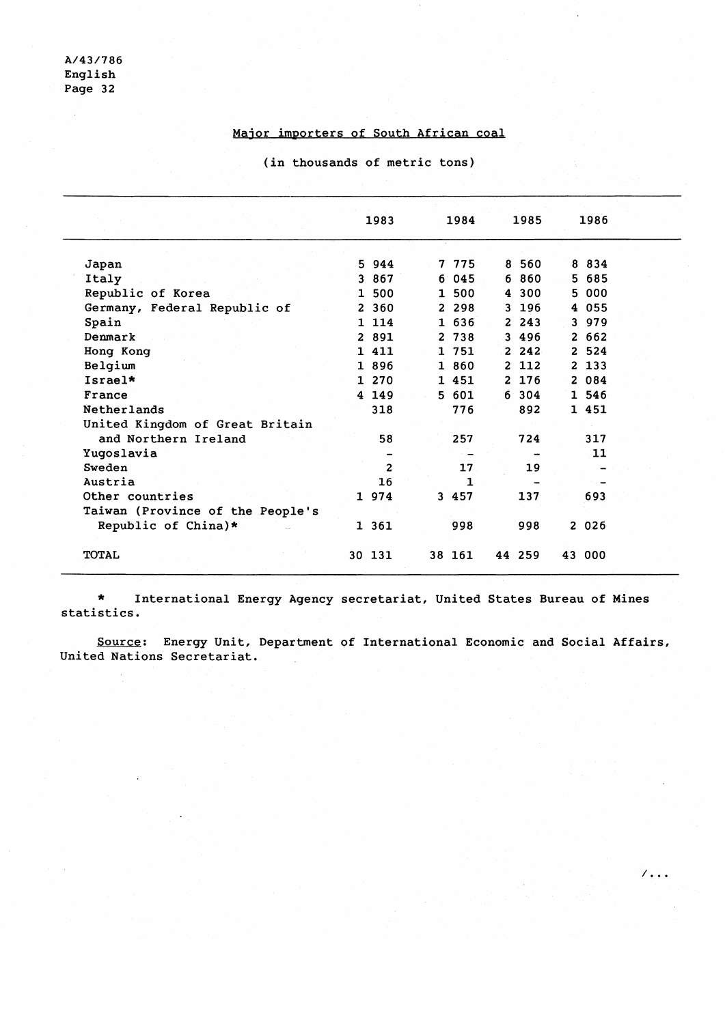t,

# Major importers of South African coal

(in thousands of metric tons)

|                                  | 1983           |              | 1984            | 1985       | 1986    |  |
|----------------------------------|----------------|--------------|-----------------|------------|---------|--|
| Japan                            | 5 944          |              | 7 775           | 8 560      | 8 8 3 4 |  |
| Italy                            | 3 867          |              | 6045            | 6 860      | 5 685   |  |
| Republic of Korea                | 1 500          |              | 1 500           | 4 300      | 5 000   |  |
| Germany, Federal Republic of     | 2 360          |              | 2 2 9 8         | 3 196      | 4 055   |  |
| Spain                            | 1 1 1 4        |              | 1 636           | $2\;\;243$ | 3 979   |  |
| Denmark                          | 2 891          |              | 2 738           | 3 496      | 2662    |  |
| Hong Kong                        | 1 4 1 1        | $\mathbf{1}$ | 751             | 2.242      | 2 5 2 4 |  |
| Belgium                          | 1 896          |              | 1 860           | 2 112      | 2 133   |  |
| Israel*                          | 1 270          |              | 1 451           | 2 176      | 2 084   |  |
| France                           | 4 149          |              | 5 601           | 6 304      | 1 546   |  |
| Netherlands                      | 318            |              | 776             | 892        | 1 451   |  |
| United Kingdom of Great Britain  |                |              |                 |            |         |  |
| and Northern Ireland             | 58             |              | 257             | 724        | 317     |  |
| Yugoslavia                       |                |              |                 |            | 11      |  |
| Sweden                           | $\overline{2}$ |              | 17 <sub>1</sub> | 19         |         |  |
| Austria                          | 16             |              | $\mathbf{1}$    |            |         |  |
| Other countries                  | 1 974          |              | 3 457           | 137        | 693     |  |
| Taiwan (Province of the People's |                |              |                 |            |         |  |
| Republic of China)*              | 1 361          |              | 998             | 998        | 2 026   |  |
| <b>TOTAL</b>                     | 30 131         |              | 38 161          | 44 259     | 43 000  |  |

\* International Energy Agency secretariat, United States Bureau of Mines statistics.

Source: Energy Unit, Department of International Economic and Social Affairs, United Nations Secretariat.

 $\sqrt{16}$